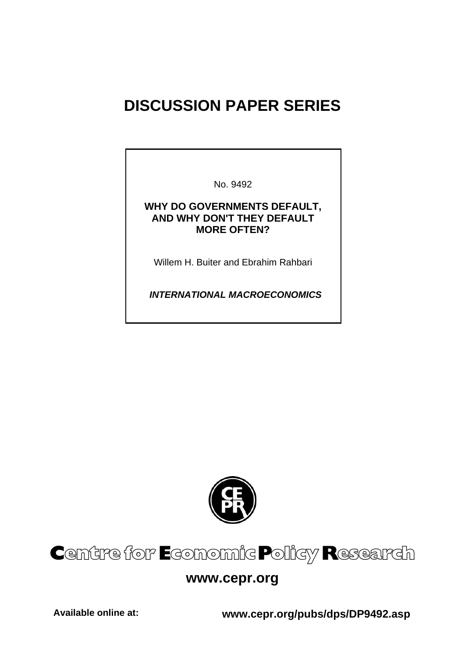# **DISCUSSION PAPER SERIES**

No. 9492

### **WHY DO GOVERNMENTS DEFAULT, AND WHY DON'T THEY DEFAULT MORE OFTEN?**

Willem H. Buiter and Ebrahim Rahbari

 *INTERNATIONAL MACROECONOMICS* 



# Centre for Economic Policy Research

# **www.cepr.org**

**Available online at: www.cepr.org/pubs/dps/DP9492.asp**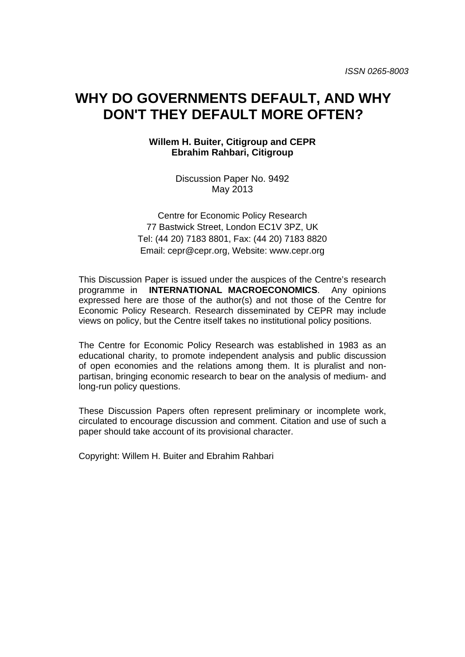# **WHY DO GOVERNMENTS DEFAULT, AND WHY DON'T THEY DEFAULT MORE OFTEN?**

### **Willem H. Buiter, Citigroup and CEPR Ebrahim Rahbari, Citigroup**

Discussion Paper No. 9492 May 2013

Centre for Economic Policy Research 77 Bastwick Street, London EC1V 3PZ, UK Tel: (44 20) 7183 8801, Fax: (44 20) 7183 8820 Email: cepr@cepr.org, Website: www.cepr.org

This Discussion Paper is issued under the auspices of the Centre's research programme in **INTERNATIONAL MACROECONOMICS**. Any opinions expressed here are those of the author(s) and not those of the Centre for Economic Policy Research. Research disseminated by CEPR may include views on policy, but the Centre itself takes no institutional policy positions.

The Centre for Economic Policy Research was established in 1983 as an educational charity, to promote independent analysis and public discussion of open economies and the relations among them. It is pluralist and nonpartisan, bringing economic research to bear on the analysis of medium- and long-run policy questions.

These Discussion Papers often represent preliminary or incomplete work, circulated to encourage discussion and comment. Citation and use of such a paper should take account of its provisional character.

Copyright: Willem H. Buiter and Ebrahim Rahbari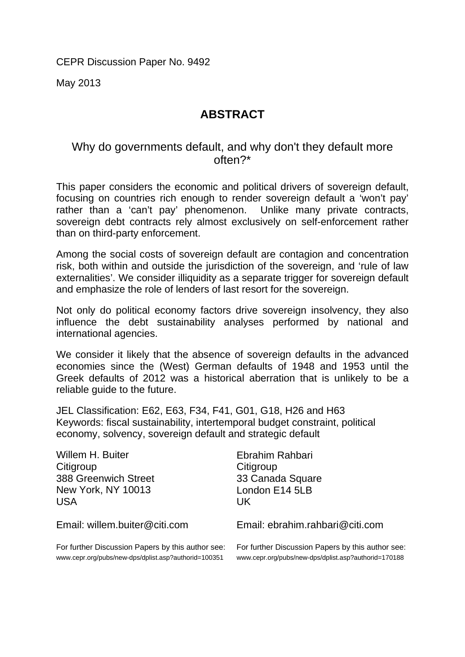CEPR Discussion Paper No. 9492

May 2013

## **ABSTRACT**

## Why do governments default, and why don't they default more often?\*

This paper considers the economic and political drivers of sovereign default, focusing on countries rich enough to render sovereign default a 'won't pay' rather than a 'can't pay' phenomenon. Unlike many private contracts, sovereign debt contracts rely almost exclusively on self-enforcement rather than on third-party enforcement.

Among the social costs of sovereign default are contagion and concentration risk, both within and outside the jurisdiction of the sovereign, and 'rule of law externalities'. We consider illiquidity as a separate trigger for sovereign default and emphasize the role of lenders of last resort for the sovereign.

Not only do political economy factors drive sovereign insolvency, they also influence the debt sustainability analyses performed by national and international agencies.

We consider it likely that the absence of sovereign defaults in the advanced economies since the (West) German defaults of 1948 and 1953 until the Greek defaults of 2012 was a historical aberration that is unlikely to be a reliable guide to the future.

JEL Classification: E62, E63, F34, F41, G01, G18, H26 and H63 Keywords: fiscal sustainability, intertemporal budget constraint, political economy, solvency, sovereign default and strategic default

| Willem H. Buiter                                     | Ebrahim Rahbari                                      |
|------------------------------------------------------|------------------------------------------------------|
| Citigroup                                            | Citigroup                                            |
| <b>388 Greenwich Street</b>                          | 33 Canada Square                                     |
| <b>New York, NY 10013</b>                            | London E14 5LB                                       |
| USA                                                  | UK.                                                  |
| Email: willem.buiter@citi.com                        | Email: ebrahim.rahbari@citi.com                      |
| For further Discussion Papers by this author see:    | For further Discussion Papers by this author see:    |
| www.cepr.org/pubs/new-dps/dplist.asp?authorid=100351 | www.cepr.org/pubs/new-dps/dplist.asp?authorid=170188 |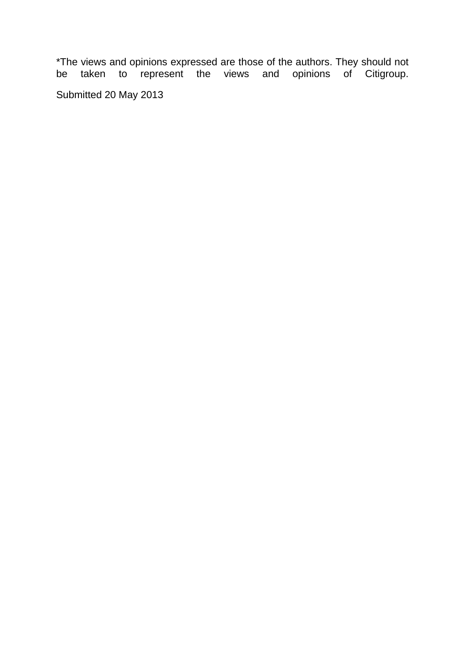\*The views and opinions expressed are those of the authors. They should not be taken to represent the views and opinions of Citigroup. Submitted 20 May 2013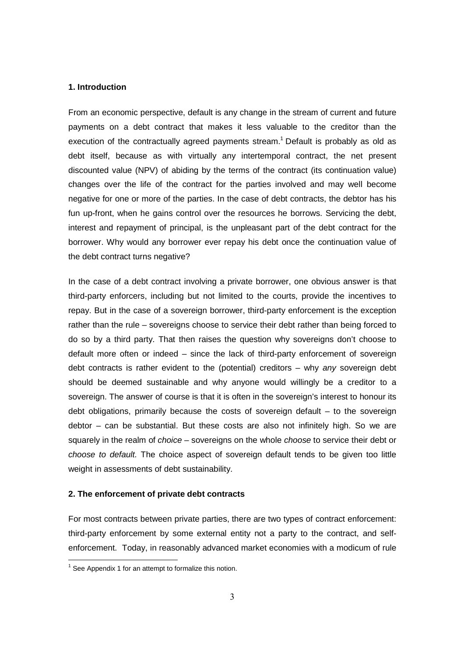#### **1. Introduction**

From an economic perspective, default is any change in the stream of current and future payments on a debt contract that makes it less valuable to the creditor than the execution of the contractually agreed payments stream.<sup>1</sup> Default is probably as old as debt itself, because as with virtually any intertemporal contract, the net present discounted value (NPV) of abiding by the terms of the contract (its continuation value) changes over the life of the contract for the parties involved and may well become negative for one or more of the parties. In the case of debt contracts, the debtor has his fun up-front, when he gains control over the resources he borrows. Servicing the debt, interest and repayment of principal, is the unpleasant part of the debt contract for the borrower. Why would any borrower ever repay his debt once the continuation value of the debt contract turns negative?

In the case of a debt contract involving a private borrower, one obvious answer is that third-party enforcers, including but not limited to the courts, provide the incentives to repay. But in the case of a sovereign borrower, third-party enforcement is the exception rather than the rule – sovereigns choose to service their debt rather than being forced to do so by a third party. That then raises the question why sovereigns don't choose to default more often or indeed – since the lack of third-party enforcement of sovereign debt contracts is rather evident to the (potential) creditors  $-$  why any sovereign debt should be deemed sustainable and why anyone would willingly be a creditor to a sovereign. The answer of course is that it is often in the sovereign's interest to honour its debt obligations, primarily because the costs of sovereign default – to the sovereign debtor – can be substantial. But these costs are also not infinitely high. So we are squarely in the realm of *choice* – sovereigns on the whole *choose* to service their debt or choose to default. The choice aspect of sovereign default tends to be given too little weight in assessments of debt sustainability.

#### **2. The enforcement of private debt contracts**

For most contracts between private parties, there are two types of contract enforcement: third-party enforcement by some external entity not a party to the contract, and selfenforcement. Today, in reasonably advanced market economies with a modicum of rule

<sup>————————————————————&</sup>lt;br><sup>1</sup> See Appendix 1 for an attempt to formalize this notion.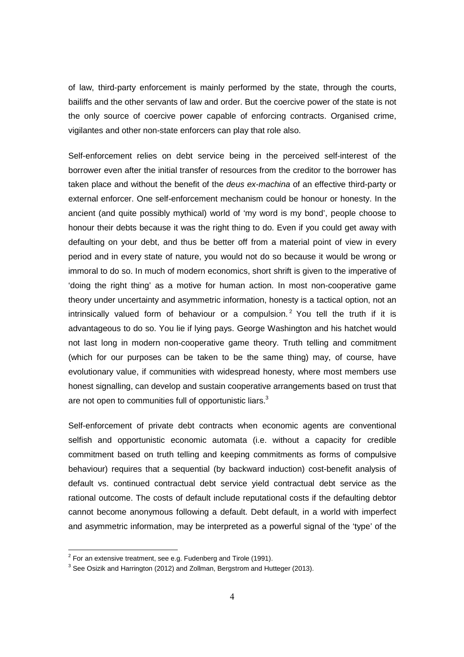of law, third-party enforcement is mainly performed by the state, through the courts, bailiffs and the other servants of law and order. But the coercive power of the state is not the only source of coercive power capable of enforcing contracts. Organised crime, vigilantes and other non-state enforcers can play that role also.

Self-enforcement relies on debt service being in the perceived self-interest of the borrower even after the initial transfer of resources from the creditor to the borrower has taken place and without the benefit of the deus ex-machina of an effective third-party or external enforcer. One self-enforcement mechanism could be honour or honesty. In the ancient (and quite possibly mythical) world of 'my word is my bond', people choose to honour their debts because it was the right thing to do. Even if you could get away with defaulting on your debt, and thus be better off from a material point of view in every period and in every state of nature, you would not do so because it would be wrong or immoral to do so. In much of modern economics, short shrift is given to the imperative of 'doing the right thing' as a motive for human action. In most non-cooperative game theory under uncertainty and asymmetric information, honesty is a tactical option, not an intrinsically valued form of behaviour or a compulsion.<sup>2</sup> You tell the truth if it is advantageous to do so. You lie if lying pays. George Washington and his hatchet would not last long in modern non-cooperative game theory. Truth telling and commitment (which for our purposes can be taken to be the same thing) may, of course, have evolutionary value, if communities with widespread honesty, where most members use honest signalling, can develop and sustain cooperative arrangements based on trust that are not open to communities full of opportunistic liars.<sup>3</sup>

Self-enforcement of private debt contracts when economic agents are conventional selfish and opportunistic economic automata (i.e. without a capacity for credible commitment based on truth telling and keeping commitments as forms of compulsive behaviour) requires that a sequential (by backward induction) cost-benefit analysis of default vs. continued contractual debt service yield contractual debt service as the rational outcome. The costs of default include reputational costs if the defaulting debtor cannot become anonymous following a default. Debt default, in a world with imperfect and asymmetric information, may be interpreted as a powerful signal of the 'type' of the

 2 For an extensive treatment, see e.g. Fudenberg and Tirole (1991).

 $^3$  See Osizik and Harrington (2012) and Zollman, Bergstrom and Hutteger (2013).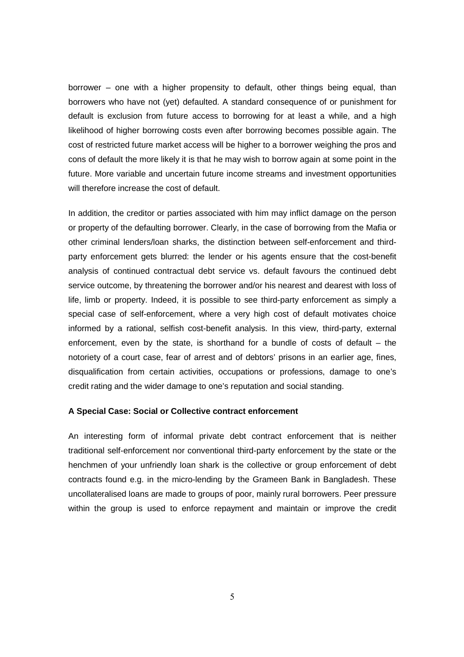borrower – one with a higher propensity to default, other things being equal, than borrowers who have not (yet) defaulted. A standard consequence of or punishment for default is exclusion from future access to borrowing for at least a while, and a high likelihood of higher borrowing costs even after borrowing becomes possible again. The cost of restricted future market access will be higher to a borrower weighing the pros and cons of default the more likely it is that he may wish to borrow again at some point in the future. More variable and uncertain future income streams and investment opportunities will therefore increase the cost of default.

In addition, the creditor or parties associated with him may inflict damage on the person or property of the defaulting borrower. Clearly, in the case of borrowing from the Mafia or other criminal lenders/loan sharks, the distinction between self-enforcement and thirdparty enforcement gets blurred: the lender or his agents ensure that the cost-benefit analysis of continued contractual debt service vs. default favours the continued debt service outcome, by threatening the borrower and/or his nearest and dearest with loss of life, limb or property. Indeed, it is possible to see third-party enforcement as simply a special case of self-enforcement, where a very high cost of default motivates choice informed by a rational, selfish cost-benefit analysis. In this view, third-party, external enforcement, even by the state, is shorthand for a bundle of costs of default – the notoriety of a court case, fear of arrest and of debtors' prisons in an earlier age, fines, disqualification from certain activities, occupations or professions, damage to one's credit rating and the wider damage to one's reputation and social standing.

#### **A Special Case: Social or Collective contract enforcement**

An interesting form of informal private debt contract enforcement that is neither traditional self-enforcement nor conventional third-party enforcement by the state or the henchmen of your unfriendly loan shark is the collective or group enforcement of debt contracts found e.g. in the micro-lending by the Grameen Bank in Bangladesh. These uncollateralised loans are made to groups of poor, mainly rural borrowers. Peer pressure within the group is used to enforce repayment and maintain or improve the credit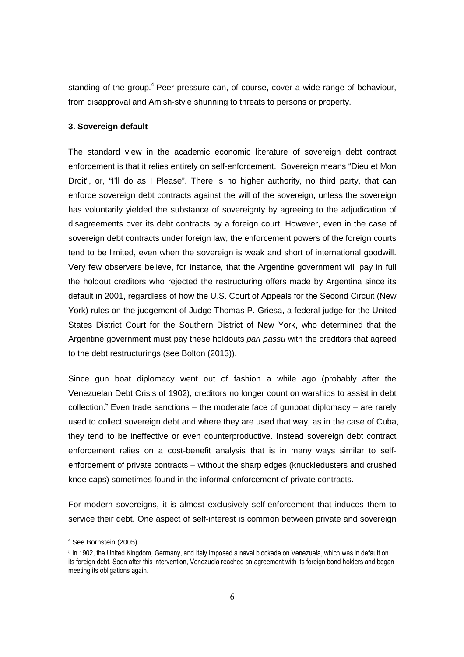standing of the group.<sup>4</sup> Peer pressure can, of course, cover a wide range of behaviour, from disapproval and Amish-style shunning to threats to persons or property.

#### **3. Sovereign default**

The standard view in the academic economic literature of sovereign debt contract enforcement is that it relies entirely on self-enforcement. Sovereign means "Dieu et Mon Droit", or, "I'll do as I Please". There is no higher authority, no third party, that can enforce sovereign debt contracts against the will of the sovereign, unless the sovereign has voluntarily yielded the substance of sovereignty by agreeing to the adjudication of disagreements over its debt contracts by a foreign court. However, even in the case of sovereign debt contracts under foreign law, the enforcement powers of the foreign courts tend to be limited, even when the sovereign is weak and short of international goodwill. Very few observers believe, for instance, that the Argentine government will pay in full the holdout creditors who rejected the restructuring offers made by Argentina since its default in 2001, regardless of how the U.S. Court of Appeals for the Second Circuit (New York) rules on the judgement of Judge Thomas P. Griesa, a federal judge for the United States District Court for the Southern District of New York, who determined that the Argentine government must pay these holdouts pari passu with the creditors that agreed to the debt restructurings (see Bolton (2013)).

Since gun boat diplomacy went out of fashion a while ago (probably after the Venezuelan Debt Crisis of 1902), creditors no longer count on warships to assist in debt collection.<sup>5</sup> Even trade sanctions – the moderate face of gunboat diplomacy – are rarely used to collect sovereign debt and where they are used that way, as in the case of Cuba, they tend to be ineffective or even counterproductive. Instead sovereign debt contract enforcement relies on a cost-benefit analysis that is in many ways similar to selfenforcement of private contracts – without the sharp edges (knuckledusters and crushed knee caps) sometimes found in the informal enforcement of private contracts.

For modern sovereigns, it is almost exclusively self-enforcement that induces them to service their debt. One aspect of self-interest is common between private and sovereign

 $4$  See Bornstein (2005).

<sup>5</sup> In 1902, the United Kingdom, Germany, and Italy imposed a naval blockade on Venezuela, which was in default on its foreign debt. Soon after this intervention, Venezuela reached an agreement with its foreign bond holders and began meeting its obligations again.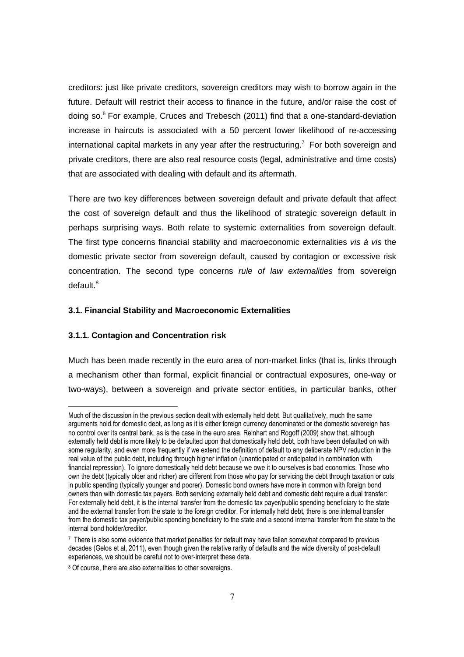creditors: just like private creditors, sovereign creditors may wish to borrow again in the future. Default will restrict their access to finance in the future, and/or raise the cost of doing so.<sup>6</sup> For example, Cruces and Trebesch (2011) find that a one-standard-deviation increase in haircuts is associated with a 50 percent lower likelihood of re-accessing international capital markets in any year after the restructuring.<sup>7</sup> For both sovereign and private creditors, there are also real resource costs (legal, administrative and time costs) that are associated with dealing with default and its aftermath.

There are two key differences between sovereign default and private default that affect the cost of sovereign default and thus the likelihood of strategic sovereign default in perhaps surprising ways. Both relate to systemic externalities from sovereign default. The first type concerns financial stability and macroeconomic externalities vis à vis the domestic private sector from sovereign default, caused by contagion or excessive risk concentration. The second type concerns rule of law externalities from sovereign default.<sup>8</sup>

#### **3.1. Financial Stability and Macroeconomic Externalities**

#### **3.1.1. Contagion and Concentration risk**

-

Much has been made recently in the euro area of non-market links (that is, links through a mechanism other than formal, explicit financial or contractual exposures, one-way or two-ways), between a sovereign and private sector entities, in particular banks, other

Much of the discussion in the previous section dealt with externally held debt. But qualitatively, much the same arguments hold for domestic debt, as long as it is either foreign currency denominated or the domestic sovereign has no control over its central bank, as is the case in the euro area. Reinhart and Rogoff (2009) show that, although externally held debt is more likely to be defaulted upon that domestically held debt, both have been defaulted on with some regularity, and even more frequently if we extend the definition of default to any deliberate NPV reduction in the real value of the public debt, including through higher inflation (unanticipated or anticipated in combination with financial repression). To ignore domestically held debt because we owe it to ourselves is bad economics. Those who own the debt (typically older and richer) are different from those who pay for servicing the debt through taxation or cuts in public spending (typically younger and poorer). Domestic bond owners have more in common with foreign bond owners than with domestic tax payers. Both servicing externally held debt and domestic debt require a dual transfer: For externally held debt, it is the internal transfer from the domestic tax payer/public spending beneficiary to the state and the external transfer from the state to the foreign creditor. For internally held debt, there is one internal transfer from the domestic tax payer/public spending beneficiary to the state and a second internal transfer from the state to the internal bond holder/creditor.

<sup>7</sup> There is also some evidence that market penalties for default may have fallen somewhat compared to previous decades (Gelos et al, 2011), even though given the relative rarity of defaults and the wide diversity of post-default experiences, we should be careful not to over-interpret these data.

<sup>&</sup>lt;sup>8</sup> Of course, there are also externalities to other sovereigns.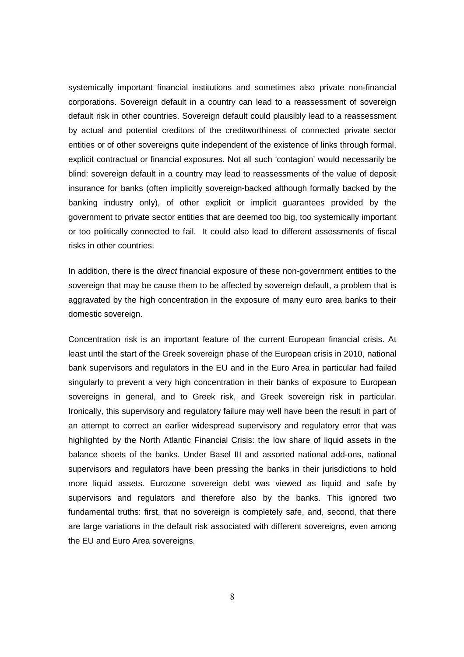systemically important financial institutions and sometimes also private non-financial corporations. Sovereign default in a country can lead to a reassessment of sovereign default risk in other countries. Sovereign default could plausibly lead to a reassessment by actual and potential creditors of the creditworthiness of connected private sector entities or of other sovereigns quite independent of the existence of links through formal, explicit contractual or financial exposures. Not all such 'contagion' would necessarily be blind: sovereign default in a country may lead to reassessments of the value of deposit insurance for banks (often implicitly sovereign-backed although formally backed by the banking industry only), of other explicit or implicit guarantees provided by the government to private sector entities that are deemed too big, too systemically important or too politically connected to fail. It could also lead to different assessments of fiscal risks in other countries.

In addition, there is the *direct* financial exposure of these non-government entities to the sovereign that may be cause them to be affected by sovereign default, a problem that is aggravated by the high concentration in the exposure of many euro area banks to their domestic sovereign.

Concentration risk is an important feature of the current European financial crisis. At least until the start of the Greek sovereign phase of the European crisis in 2010, national bank supervisors and regulators in the EU and in the Euro Area in particular had failed singularly to prevent a very high concentration in their banks of exposure to European sovereigns in general, and to Greek risk, and Greek sovereign risk in particular. Ironically, this supervisory and regulatory failure may well have been the result in part of an attempt to correct an earlier widespread supervisory and regulatory error that was highlighted by the North Atlantic Financial Crisis: the low share of liquid assets in the balance sheets of the banks. Under Basel III and assorted national add-ons, national supervisors and regulators have been pressing the banks in their jurisdictions to hold more liquid assets. Eurozone sovereign debt was viewed as liquid and safe by supervisors and regulators and therefore also by the banks. This ignored two fundamental truths: first, that no sovereign is completely safe, and, second, that there are large variations in the default risk associated with different sovereigns, even among the EU and Euro Area sovereigns.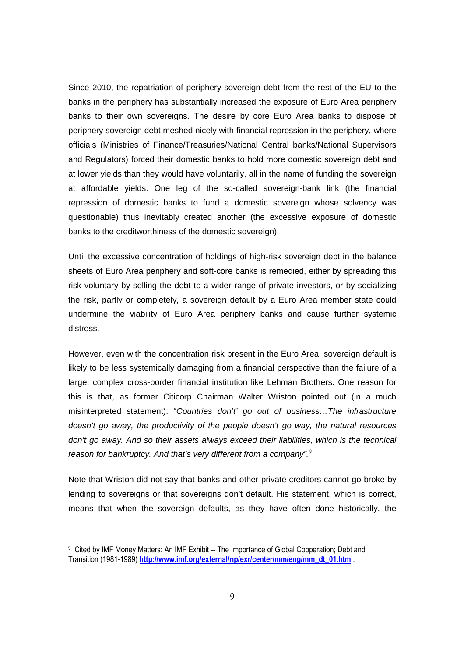Since 2010, the repatriation of periphery sovereign debt from the rest of the EU to the banks in the periphery has substantially increased the exposure of Euro Area periphery banks to their own sovereigns. The desire by core Euro Area banks to dispose of periphery sovereign debt meshed nicely with financial repression in the periphery, where officials (Ministries of Finance/Treasuries/National Central banks/National Supervisors and Regulators) forced their domestic banks to hold more domestic sovereign debt and at lower yields than they would have voluntarily, all in the name of funding the sovereign at affordable yields. One leg of the so-called sovereign-bank link (the financial repression of domestic banks to fund a domestic sovereign whose solvency was questionable) thus inevitably created another (the excessive exposure of domestic banks to the creditworthiness of the domestic sovereign).

Until the excessive concentration of holdings of high-risk sovereign debt in the balance sheets of Euro Area periphery and soft-core banks is remedied, either by spreading this risk voluntary by selling the debt to a wider range of private investors, or by socializing the risk, partly or completely, a sovereign default by a Euro Area member state could undermine the viability of Euro Area periphery banks and cause further systemic distress.

However, even with the concentration risk present in the Euro Area, sovereign default is likely to be less systemically damaging from a financial perspective than the failure of a large, complex cross-border financial institution like Lehman Brothers. One reason for this is that, as former Citicorp Chairman Walter Wriston pointed out (in a much misinterpreted statement): "Countries don't' go out of business…The infrastructure doesn't go away, the productivity of the people doesn't go way, the natural resources don't go away. And so their assets always exceed their liabilities, which is the technical reason for bankruptcy. And that's very different from a company".<sup>9</sup>

Note that Wriston did not say that banks and other private creditors cannot go broke by lending to sovereigns or that sovereigns don't default. His statement, which is correct, means that when the sovereign defaults, as they have often done historically, the

<sup>9</sup> Cited by IMF Money Matters: An IMF Exhibit -- The Importance of Global Cooperation; Debt and Transition (1981-1989) **http://www.imf.org/external/np/exr/center/mm/eng/mm\_dt\_01.htm** .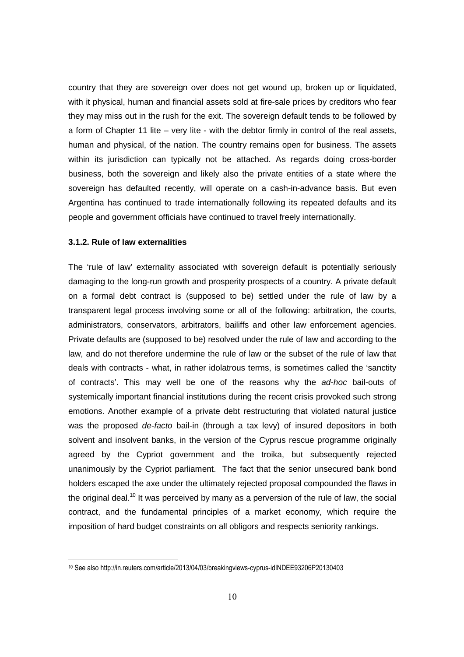country that they are sovereign over does not get wound up, broken up or liquidated, with it physical, human and financial assets sold at fire-sale prices by creditors who fear they may miss out in the rush for the exit. The sovereign default tends to be followed by a form of Chapter 11 lite – very lite - with the debtor firmly in control of the real assets, human and physical, of the nation. The country remains open for business. The assets within its jurisdiction can typically not be attached. As regards doing cross-border business, both the sovereign and likely also the private entities of a state where the sovereign has defaulted recently, will operate on a cash-in-advance basis. But even Argentina has continued to trade internationally following its repeated defaults and its people and government officials have continued to travel freely internationally.

#### **3.1.2. Rule of law externalities**

-

The 'rule of law' externality associated with sovereign default is potentially seriously damaging to the long-run growth and prosperity prospects of a country. A private default on a formal debt contract is (supposed to be) settled under the rule of law by a transparent legal process involving some or all of the following: arbitration, the courts, administrators, conservators, arbitrators, bailiffs and other law enforcement agencies. Private defaults are (supposed to be) resolved under the rule of law and according to the law, and do not therefore undermine the rule of law or the subset of the rule of law that deals with contracts - what, in rather idolatrous terms, is sometimes called the 'sanctity of contracts'. This may well be one of the reasons why the ad-hoc bail-outs of systemically important financial institutions during the recent crisis provoked such strong emotions. Another example of a private debt restructuring that violated natural justice was the proposed de-facto bail-in (through a tax levy) of insured depositors in both solvent and insolvent banks, in the version of the Cyprus rescue programme originally agreed by the Cypriot government and the troika, but subsequently rejected unanimously by the Cypriot parliament. The fact that the senior unsecured bank bond holders escaped the axe under the ultimately rejected proposal compounded the flaws in the original deal.<sup>10</sup> It was perceived by many as a perversion of the rule of law, the social contract, and the fundamental principles of a market economy, which require the imposition of hard budget constraints on all obligors and respects seniority rankings.

<sup>10</sup> See also http://in.reuters.com/article/2013/04/03/breakingviews-cyprus-idINDEE93206P20130403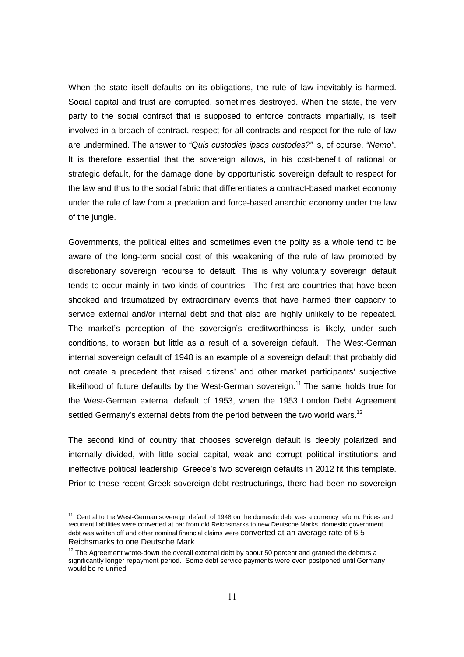When the state itself defaults on its obligations, the rule of law inevitably is harmed. Social capital and trust are corrupted, sometimes destroyed. When the state, the very party to the social contract that is supposed to enforce contracts impartially, is itself involved in a breach of contract, respect for all contracts and respect for the rule of law are undermined. The answer to "Quis custodies ipsos custodes?" is, of course, "Nemo". It is therefore essential that the sovereign allows, in his cost-benefit of rational or strategic default, for the damage done by opportunistic sovereign default to respect for the law and thus to the social fabric that differentiates a contract-based market economy under the rule of law from a predation and force-based anarchic economy under the law of the jungle.

Governments, the political elites and sometimes even the polity as a whole tend to be aware of the long-term social cost of this weakening of the rule of law promoted by discretionary sovereign recourse to default. This is why voluntary sovereign default tends to occur mainly in two kinds of countries. The first are countries that have been shocked and traumatized by extraordinary events that have harmed their capacity to service external and/or internal debt and that also are highly unlikely to be repeated. The market's perception of the sovereign's creditworthiness is likely, under such conditions, to worsen but little as a result of a sovereign default. The West-German internal sovereign default of 1948 is an example of a sovereign default that probably did not create a precedent that raised citizens' and other market participants' subjective likelihood of future defaults by the West-German sovereign.<sup>11</sup> The same holds true for the West-German external default of 1953, when the 1953 London Debt Agreement settled Germany's external debts from the period between the two world wars.<sup>12</sup>

The second kind of country that chooses sovereign default is deeply polarized and internally divided, with little social capital, weak and corrupt political institutions and ineffective political leadership. Greece's two sovereign defaults in 2012 fit this template. Prior to these recent Greek sovereign debt restructurings, there had been no sovereign

<sup>&</sup>lt;sup>11</sup> Central to the West-German sovereign default of 1948 on the domestic debt was a currency reform. Prices and recurrent liabilities were converted at par from old Reichsmarks to new Deutsche Marks, domestic government debt was written off and other nominal financial claims were converted at an average rate of 6.5 Reichsmarks to one Deutsche Mark.

 $12$  The Agreement wrote-down the overall external debt by about 50 percent and granted the debtors a significantly longer repayment period. Some debt service payments were even postponed until Germany would be re-unified.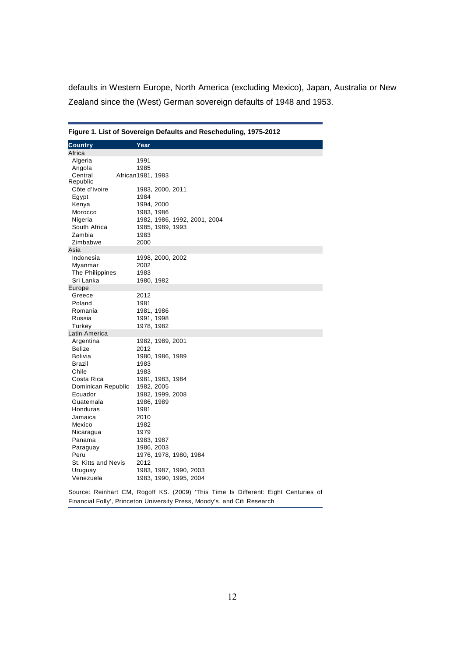defaults in Western Europe, North America (excluding Mexico), Japan, Australia or New Zealand since the (West) German sovereign defaults of 1948 and 1953.

|                      | Figure 1. List of Sovereign Defaults and Rescheduling, 1975-2012                   |
|----------------------|------------------------------------------------------------------------------------|
| <b>Country</b>       | Year                                                                               |
| Africa               |                                                                                    |
| Algeria              | 1991                                                                               |
| Angola               | 1985                                                                               |
| Central              | African1981, 1983                                                                  |
| Republic             |                                                                                    |
| Côte d'Ivoire        | 1983, 2000, 2011                                                                   |
| Egypt                | 1984                                                                               |
| Kenya                | 1994, 2000                                                                         |
| Morocco              | 1983, 1986                                                                         |
| Nigeria              | 1982, 1986, 1992, 2001, 2004                                                       |
| South Africa         | 1985, 1989, 1993                                                                   |
| Zambia               | 1983                                                                               |
| Zimbabwe             | 2000                                                                               |
| Asia                 |                                                                                    |
| Indonesia            | 1998, 2000, 2002                                                                   |
| Myanmar              | 2002                                                                               |
| The Philippines      | 1983                                                                               |
| Sri Lanka            | 1980, 1982                                                                         |
| Europe               |                                                                                    |
| Greece               | 2012                                                                               |
| Poland               | 1981                                                                               |
| Romania              | 1981, 1986                                                                         |
| Russia               | 1991, 1998                                                                         |
| Turkey               | 1978, 1982                                                                         |
| Latin America        |                                                                                    |
| Argentina            | 1982, 1989, 2001                                                                   |
| <b>Belize</b>        | 2012                                                                               |
| Bolivia              | 1980, 1986, 1989                                                                   |
| Brazil               | 1983                                                                               |
| Chile                | 1983                                                                               |
| Costa Rica           | 1981, 1983, 1984                                                                   |
| Dominican Republic   | 1982, 2005                                                                         |
| Ecuador<br>Guatemala | 1982, 1999, 2008                                                                   |
| Honduras             | 1986, 1989<br>1981                                                                 |
| Jamaica              | 2010                                                                               |
| Mexico               | 1982                                                                               |
|                      | 1979                                                                               |
| Nicaragua<br>Panama  | 1983, 1987                                                                         |
| Paraguay             | 1986, 2003                                                                         |
| Peru                 | 1976, 1978, 1980, 1984                                                             |
| St. Kitts and Nevis  | 2012                                                                               |
| Uruguay              | 1983, 1987, 1990, 2003                                                             |
| Venezuela            | 1983, 1990, 1995, 2004                                                             |
|                      |                                                                                    |
|                      | Source: Reinhart CM, Rogoff KS. (2009) 'This Time Is Different: Eight Centuries of |

**Figure 1. List of Sovereign Defaults and Rescheduling, 1975-2012** 

Financial Folly', Princeton University Press, Moody's, and Citi Research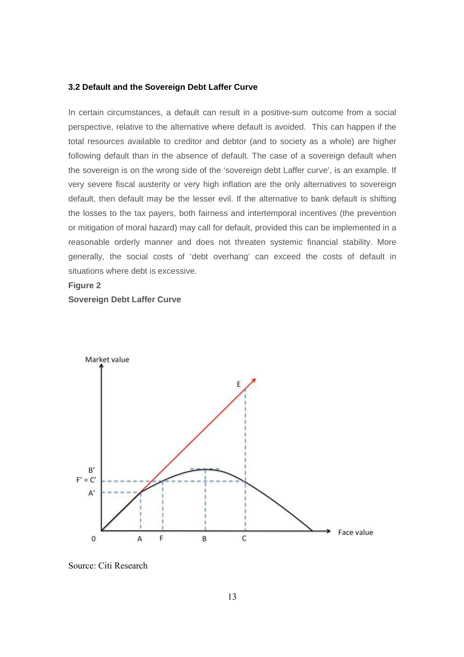#### **3.2 Default and the Sovereign Debt Laffer Curve**

In certain circumstances, a default can result in a positive-sum outcome from a social perspective, relative to the alternative where default is avoided. This can happen if the total resources available to creditor and debtor (and to society as a whole) are higher following default than in the absence of default. The case of a sovereign default when the sovereign is on the wrong side of the 'sovereign debt Laffer curve', is an example. If very severe fiscal austerity or very high inflation are the only alternatives to sovereign default, then default may be the lesser evil. If the alternative to bank default is shifting the losses to the tax payers, both fairness and intertemporal incentives (the prevention or mitigation of moral hazard) may call for default, provided this can be implemented in a reasonable orderly manner and does not threaten systemic financial stability. More generally, the social costs of 'debt overhang' can exceed the costs of default in situations where debt is excessive.

#### **Figure 2**



Source: Citi Research

**Sovereign Debt Laffer Curve**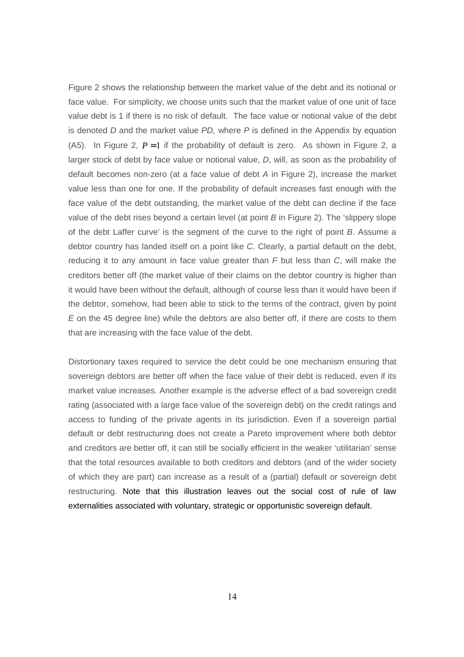Figure 2 shows the relationship between the market value of the debt and its notional or face value. For simplicity, we choose units such that the market value of one unit of face value debt is 1 if there is no risk of default. The face value or notional value of the debt is denoted  $D$  and the market value  $PD$ , where  $P$  is defined in the Appendix by equation (A5). In Figure 2,  $P=1$  if the probability of default is zero. As shown in Figure 2, a larger stock of debt by face value or notional value, D, will, as soon as the probability of default becomes non-zero (at a face value of debt A in Figure 2), increase the market value less than one for one. If the probability of default increases fast enough with the face value of the debt outstanding, the market value of the debt can decline if the face value of the debt rises beyond a certain level (at point  $B$  in Figure 2). The 'slippery slope of the debt Laffer curve' is the segment of the curve to the right of point B. Assume a debtor country has landed itself on a point like C. Clearly, a partial default on the debt, reducing it to any amount in face value greater than  $F$  but less than  $C$ , will make the creditors better off (the market value of their claims on the debtor country is higher than it would have been without the default, although of course less than it would have been if the debtor, somehow, had been able to stick to the terms of the contract, given by point E on the 45 degree line) while the debtors are also better off, if there are costs to them that are increasing with the face value of the debt.

Distortionary taxes required to service the debt could be one mechanism ensuring that sovereign debtors are better off when the face value of their debt is reduced, even if its market value increases. Another example is the adverse effect of a bad sovereign credit rating (associated with a large face value of the sovereign debt) on the credit ratings and access to funding of the private agents in its jurisdiction. Even if a sovereign partial default or debt restructuring does not create a Pareto improvement where both debtor and creditors are better off, it can still be socially efficient in the weaker 'utilitarian' sense that the total resources available to both creditors and debtors (and of the wider society of which they are part) can increase as a result of a (partial) default or sovereign debt restructuring. Note that this illustration leaves out the social cost of rule of law externalities associated with voluntary, strategic or opportunistic sovereign default.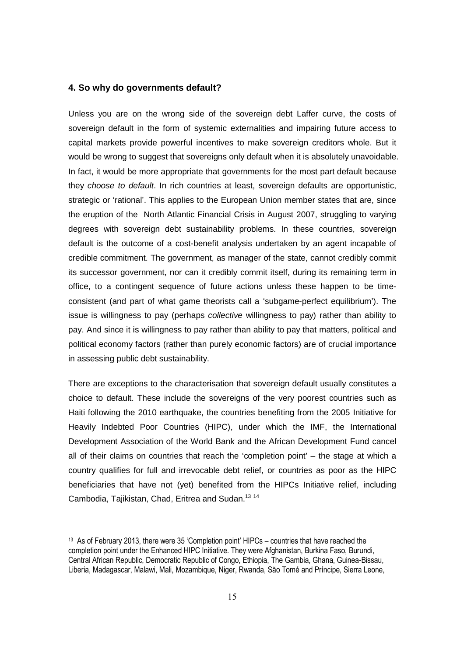#### **4. So why do governments default?**

Unless you are on the wrong side of the sovereign debt Laffer curve, the costs of sovereign default in the form of systemic externalities and impairing future access to capital markets provide powerful incentives to make sovereign creditors whole. But it would be wrong to suggest that sovereigns only default when it is absolutely unavoidable. In fact, it would be more appropriate that governments for the most part default because they choose to default. In rich countries at least, sovereign defaults are opportunistic, strategic or 'rational'. This applies to the European Union member states that are, since the eruption of the North Atlantic Financial Crisis in August 2007, struggling to varying degrees with sovereign debt sustainability problems. In these countries, sovereign default is the outcome of a cost-benefit analysis undertaken by an agent incapable of credible commitment. The government, as manager of the state, cannot credibly commit its successor government, nor can it credibly commit itself, during its remaining term in office, to a contingent sequence of future actions unless these happen to be timeconsistent (and part of what game theorists call a 'subgame-perfect equilibrium'). The issue is willingness to pay (perhaps *collective* willingness to pay) rather than ability to pay. And since it is willingness to pay rather than ability to pay that matters, political and political economy factors (rather than purely economic factors) are of crucial importance in assessing public debt sustainability.

There are exceptions to the characterisation that sovereign default usually constitutes a choice to default. These include the sovereigns of the very poorest countries such as Haiti following the 2010 earthquake, the countries benefiting from the 2005 Initiative for Heavily Indebted Poor Countries (HIPC), under which the IMF, the International Development Association of the World Bank and the African Development Fund cancel all of their claims on countries that reach the 'completion point' – the stage at which a country qualifies for full and irrevocable debt relief, or countries as poor as the HIPC beneficiaries that have not (yet) benefited from the HIPCs Initiative relief, including Cambodia, Tajikistan, Chad, Eritrea and Sudan.<sup>13 14</sup>

<sup>13</sup> As of February 2013, there were 35 'Completion point' HIPCs – countries that have reached the completion point under the Enhanced HIPC Initiative. They were Afghanistan, Burkina Faso, Burundi, Central African Republic, Democratic Republic of Congo, Ethiopia, The Gambia, Ghana, Guinea-Bissau, Liberia, Madagascar, Malawi, Mali, Mozambique, Niger, Rwanda, São Tomé and Príncipe, Sierra Leone,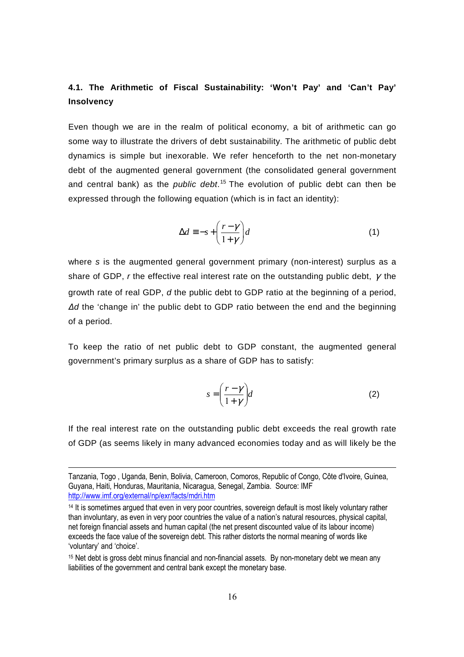### **4.1. The Arithmetic of Fiscal Sustainability: 'Won't Pay' and 'Can't Pay' Insolvency**

Even though we are in the realm of political economy, a bit of arithmetic can go some way to illustrate the drivers of debt sustainability. The arithmetic of public debt dynamics is simple but inexorable. We refer henceforth to the net non-monetary debt of the augmented general government (the consolidated general government and central bank) as the *public debt*.<sup>15</sup> The evolution of public debt can then be expressed through the following equation (which is in fact an identity):

$$
\Delta d \equiv -s + \left(\frac{r - \gamma}{1 + \gamma}\right) d \tag{1}
$$

where s is the augmented general government primary (non-interest) surplus as a share of GDP, r the effective real interest rate on the outstanding public debt,  $\gamma$  the growth rate of real GDP, d the public debt to GDP ratio at the beginning of a period, *∆*d the 'change in' the public debt to GDP ratio between the end and the beginning of a period.

To keep the ratio of net public debt to GDP constant, the augmented general government's primary surplus as a share of GDP has to satisfy:

$$
s = \left(\frac{r - \gamma}{1 + \gamma}\right) d \tag{2}
$$

If the real interest rate on the outstanding public debt exceeds the real growth rate of GDP (as seems likely in many advanced economies today and as will likely be the

Tanzania, Togo , Uganda, Benin, Bolivia, Cameroon, Comoros, Republic of Congo, Côte d'Ivoire, Guinea, Guyana, Haiti, Honduras, Mauritania, Nicaragua, Senegal, Zambia. Source: IMF http://www.imf.org/external/np/exr/facts/mdri.htm

<sup>&</sup>lt;sup>14</sup> It is sometimes argued that even in very poor countries, sovereign default is most likely voluntary rather than involuntary, as even in very poor countries the value of a nation's natural resources, physical capital, net foreign financial assets and human capital (the net present discounted value of its labour income) exceeds the face value of the sovereign debt. This rather distorts the normal meaning of words like 'voluntary' and 'choice'.

<sup>15</sup> Net debt is gross debt minus financial and non-financial assets. By non-monetary debt we mean any liabilities of the government and central bank except the monetary base.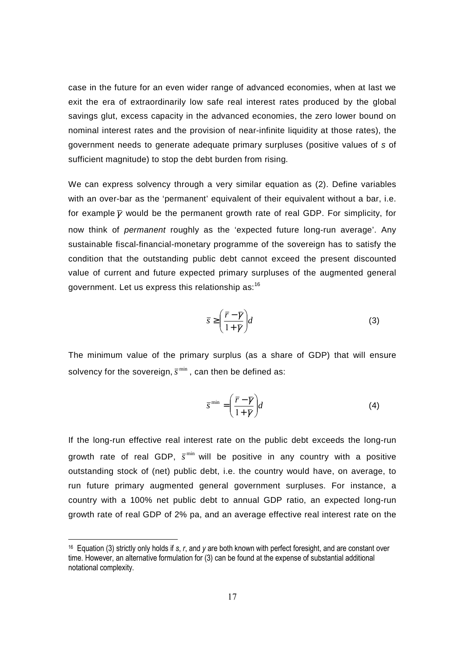case in the future for an even wider range of advanced economies, when at last we exit the era of extraordinarily low safe real interest rates produced by the global savings glut, excess capacity in the advanced economies, the zero lower bound on nominal interest rates and the provision of near-infinite liquidity at those rates), the government needs to generate adequate primary surpluses (positive values of s of sufficient magnitude) to stop the debt burden from rising.

We can express solvency through a very similar equation as (2). Define variables with an over-bar as the 'permanent' equivalent of their equivalent without a bar, i.e. for example  $\bar{y}$  would be the permanent growth rate of real GDP. For simplicity, for now think of permanent roughly as the 'expected future long-run average'. Any sustainable fiscal-financial-monetary programme of the sovereign has to satisfy the condition that the outstanding public debt cannot exceed the present discounted value of current and future expected primary surpluses of the augmented general government. Let us express this relationship as:<sup>16</sup>

$$
\bar{s} \ge \left(\frac{\bar{r} - \bar{\gamma}}{1 + \bar{\gamma}}\right) d \tag{3}
$$

The minimum value of the primary surplus (as a share of GDP) that will ensure solvency for the sovereign,  $\bar{s}^{\text{min}}$  , can then be defined as:

$$
\overline{s}^{\min} = \left(\frac{\overline{r} - \overline{\gamma}}{1 + \overline{\gamma}}\right) d \tag{4}
$$

If the long-run effective real interest rate on the public debt exceeds the long-run growth rate of real GDP,  $\bar{s}^{\min}$  will be positive in any country with a positive outstanding stock of (net) public debt, i.e. the country would have, on average, to run future primary augmented general government surpluses. For instance, a country with a 100% net public debt to annual GDP ratio, an expected long-run growth rate of real GDP of 2% pa, and an average effective real interest rate on the

<sup>16</sup> Equation (3) strictly only holds if *s*, *r*, and *y* are both known with perfect foresight, and are constant over time. However, an alternative formulation for (3) can be found at the expense of substantial additional notational complexity.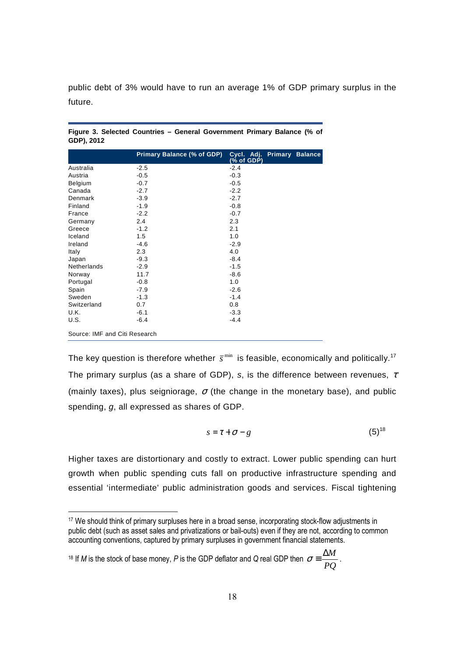public debt of 3% would have to run an average 1% of GDP primary surplus in the future.

|                               | Primary Balance (% of GDP) | Cycl. Adj. Primary Balance<br>$(% \mathcal{L}_{0})$ (% of GDP) |
|-------------------------------|----------------------------|----------------------------------------------------------------|
| Australia                     | $-2.5$                     | $-2.4$                                                         |
| Austria                       | $-0.5$                     | $-0.3$                                                         |
| <b>Belgium</b>                | $-0.7$                     | $-0.5$                                                         |
| Canada                        | $-2.7$                     | $-2.2$                                                         |
| Denmark                       | $-3.9$                     | $-2.7$                                                         |
| Finland                       | $-1.9$                     | $-0.8$                                                         |
| France                        | $-2.2$                     | $-0.7$                                                         |
| Germany                       | 2.4                        | 2.3                                                            |
| Greece                        | $-1.2$                     | 2.1                                                            |
| Iceland                       | 1.5                        | 1.0                                                            |
| Ireland                       | $-4.6$                     | $-2.9$                                                         |
| Italy                         | 2.3                        | 4.0                                                            |
| Japan                         | $-9.3$                     | $-8.4$                                                         |
| <b>Netherlands</b>            | $-2.9$                     | $-1.5$                                                         |
| Norway                        | 11.7                       | $-8.6$                                                         |
| Portugal                      | $-0.8$                     | 1.0                                                            |
| Spain                         | $-7.9$                     | $-2.6$                                                         |
| Sweden                        | $-1.3$                     | $-1.4$                                                         |
| Switzerland                   | 0.7                        | 0.8                                                            |
| U.K.                          | $-6.1$                     | $-3.3$                                                         |
| U.S.                          | $-6.4$                     | $-4.4$                                                         |
| Source: IMF and Citi Research |                            |                                                                |

**Figure 3. Selected Countries – General Government Primary Balance (% of GDP), 2012** 

The key question is therefore whether  $\bar{s}^{\text{\tiny min}}$  is feasible, economically and politically.<sup>17</sup> The primary surplus (as a share of GDP), s, is the difference between revenues,  $\tau$ (mainly taxes), plus seigniorage,  $\sigma$  (the change in the monetary base), and public spending, g, all expressed as shares of GDP.

$$
s = \tau + \sigma - g \tag{5}^{\{8\}}
$$

Higher taxes are distortionary and costly to extract. Lower public spending can hurt growth when public spending cuts fall on productive infrastructure spending and essential 'intermediate' public administration goods and services. Fiscal tightening

<sup>18</sup> If *M* is the stock of base money, *P* is the GDP deflator and *Q* real GDP then *PQ*  $\sigma \equiv \frac{\Delta M}{R}$ .

<sup>-</sup><sup>17</sup> We should think of primary surpluses here in a broad sense, incorporating stock-flow adjustments in public debt (such as asset sales and privatizations or bail-outs) even if they are not, according to common accounting conventions, captured by primary surpluses in government financial statements.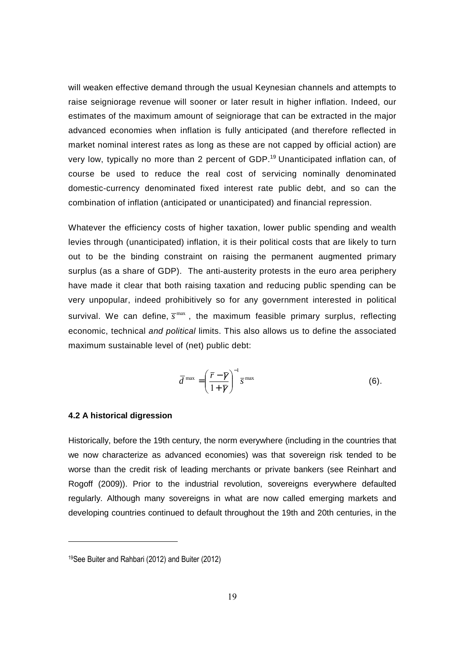will weaken effective demand through the usual Keynesian channels and attempts to raise seigniorage revenue will sooner or later result in higher inflation. Indeed, our estimates of the maximum amount of seigniorage that can be extracted in the major advanced economies when inflation is fully anticipated (and therefore reflected in market nominal interest rates as long as these are not capped by official action) are very low, typically no more than 2 percent of GDP.<sup>19</sup> Unanticipated inflation can, of course be used to reduce the real cost of servicing nominally denominated domestic-currency denominated fixed interest rate public debt, and so can the combination of inflation (anticipated or unanticipated) and financial repression.

Whatever the efficiency costs of higher taxation, lower public spending and wealth levies through (unanticipated) inflation, it is their political costs that are likely to turn out to be the binding constraint on raising the permanent augmented primary surplus (as a share of GDP). The anti-austerity protests in the euro area periphery have made it clear that both raising taxation and reducing public spending can be very unpopular, indeed prohibitively so for any government interested in political survival. We can define,  $\overline{s}^{\text{max}}$ , the maximum feasible primary surplus, reflecting economic, technical and political limits. This also allows us to define the associated maximum sustainable level of (net) public debt:

$$
\overline{d}^{\max} = \left(\frac{\overline{r} - \overline{\gamma}}{1 + \overline{\gamma}}\right)^{-1} \overline{s}^{\max}
$$
 (6).

#### **4.2 A historical digression**

-

Historically, before the 19th century, the norm everywhere (including in the countries that we now characterize as advanced economies) was that sovereign risk tended to be worse than the credit risk of leading merchants or private bankers (see Reinhart and Rogoff (2009)). Prior to the industrial revolution, sovereigns everywhere defaulted regularly. Although many sovereigns in what are now called emerging markets and developing countries continued to default throughout the 19th and 20th centuries, in the

<sup>19</sup>See Buiter and Rahbari (2012) and Buiter (2012)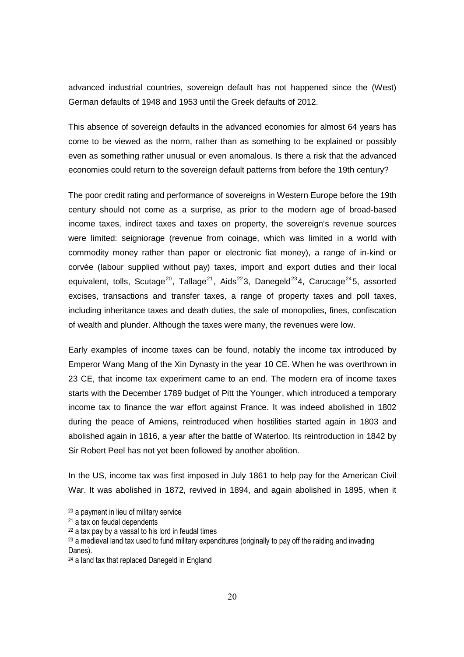advanced industrial countries, sovereign default has not happened since the (West) German defaults of 1948 and 1953 until the Greek defaults of 2012.

This absence of sovereign defaults in the advanced economies for almost 64 years has come to be viewed as the norm, rather than as something to be explained or possibly even as something rather unusual or even anomalous. Is there a risk that the advanced economies could return to the sovereign default patterns from before the 19th century?

The poor credit rating and performance of sovereigns in Western Europe before the 19th century should not come as a surprise, as prior to the modern age of broad-based income taxes, indirect taxes and taxes on property, the sovereign's revenue sources were limited: seigniorage (revenue from coinage, which was limited in a world with commodity money rather than paper or electronic fiat money), a range of in-kind or corvée (labour supplied without pay) taxes, import and export duties and their local equivalent, tolls, Scutage<sup>20</sup>, Tallage<sup>21</sup>, Aids<sup>22</sup>3, Danegeld<sup>23</sup>4, Carucage<sup>24</sup>5, assorted excises, transactions and transfer taxes, a range of property taxes and poll taxes, including inheritance taxes and death duties, the sale of monopolies, fines, confiscation of wealth and plunder. Although the taxes were many, the revenues were low.

Early examples of income taxes can be found, notably the income tax introduced by Emperor Wang Mang of the Xin Dynasty in the year 10 CE. When he was overthrown in 23 CE, that income tax experiment came to an end. The modern era of income taxes starts with the December 1789 budget of Pitt the Younger, which introduced a temporary income tax to finance the war effort against France. It was indeed abolished in 1802 during the peace of Amiens, reintroduced when hostilities started again in 1803 and abolished again in 1816, a year after the battle of Waterloo. Its reintroduction in 1842 by Sir Robert Peel has not yet been followed by another abolition.

In the US, income tax was first imposed in July 1861 to help pay for the American Civil War. It was abolished in 1872, revived in 1894, and again abolished in 1895, when it

<sup>20</sup> a payment in lieu of military service

<sup>21</sup> a tax on feudal dependents

<sup>22</sup> a tax pay by a vassal to his lord in feudal times

<sup>&</sup>lt;sup>23</sup> a medieval land tax used to fund military expenditures (originally to pay off the raiding and invading

Danes).

<sup>24</sup> a land tax that replaced Danegeld in England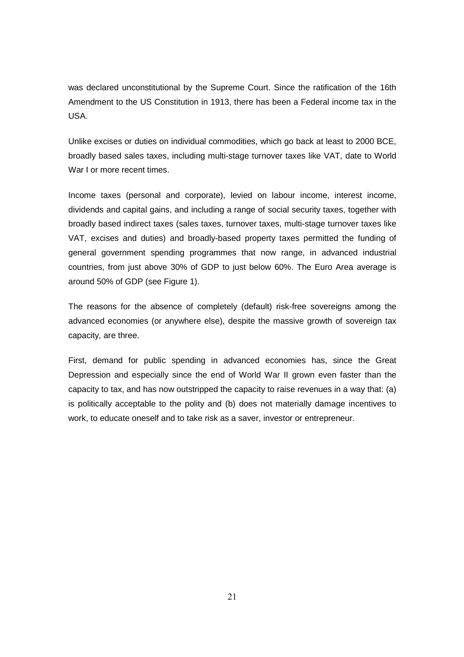was declared unconstitutional by the Supreme Court. Since the ratification of the 16th Amendment to the US Constitution in 1913, there has been a Federal income tax in the USA.

Unlike excises or duties on individual commodities, which go back at least to 2000 BCE, broadly based sales taxes, including multi-stage turnover taxes like VAT, date to World War I or more recent times.

Income taxes (personal and corporate), levied on labour income, interest income, dividends and capital gains, and including a range of social security taxes, together with broadly based indirect taxes (sales taxes, turnover taxes, multi-stage turnover taxes like VAT, excises and duties) and broadly-based property taxes permitted the funding of general government spending programmes that now range, in advanced industrial countries, from just above 30% of GDP to just below 60%. The Euro Area average is around 50% of GDP (see Figure 1).

The reasons for the absence of completely (default) risk-free sovereigns among the advanced economies (or anywhere else), despite the massive growth of sovereign tax capacity, are three.

First, demand for public spending in advanced economies has, since the Great Depression and especially since the end of World War II grown even faster than the capacity to tax, and has now outstripped the capacity to raise revenues in a way that: (a) is politically acceptable to the polity and (b) does not materially damage incentives to work, to educate oneself and to take risk as a saver, investor or entrepreneur.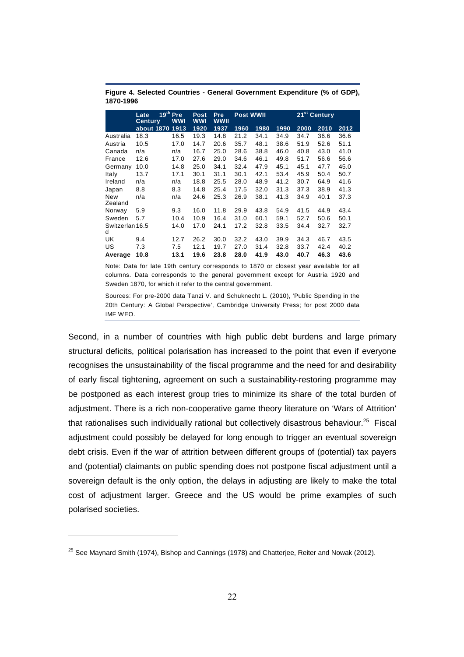| 19 <sup>th</sup> Pre<br>Late<br>WWI<br><b>Century</b> |                 | Post<br><b>WWI</b> | <b>Pre</b><br><b>WWII</b> | <b>Post WWII</b> |      |      | 21 <sup>st</sup> Century |      |      |      |
|-------------------------------------------------------|-----------------|--------------------|---------------------------|------------------|------|------|--------------------------|------|------|------|
|                                                       | about 1870 1913 |                    | 1920                      | 1937             | 1960 | 1980 | 1990                     | 2000 | 2010 | 2012 |
| Australia                                             | 18.3            | 16.5               | 19.3                      | 14.8             | 21.2 | 34.1 | 34.9                     | 34.7 | 36.6 | 36.6 |
| Austria                                               | 10.5            | 17.0               | 14.7                      | 20.6             | 35.7 | 48.1 | 38.6                     | 51.9 | 52.6 | 51.1 |
| Canada                                                | n/a             | n/a                | 16.7                      | 25.0             | 28.6 | 38.8 | 46.0                     | 40.8 | 43.0 | 41.0 |
| France                                                | 12.6            | 17.0               | 27.6                      | 29.0             | 34.6 | 46.1 | 49.8                     | 51.7 | 56.6 | 56.6 |
| Germany                                               | 10.0            | 14.8               | 25.0                      | 34.1             | 32.4 | 47.9 | 45.1                     | 45.1 | 47.7 | 45.0 |
| Italy                                                 | 13.7            | 17.1               | 30.1                      | 31.1             | 30.1 | 42.1 | 53.4                     | 45.9 | 50.4 | 50.7 |
| Ireland                                               | n/a             | n/a                | 18.8                      | 25.5             | 28.0 | 48.9 | 41.2                     | 30.7 | 64.9 | 41.6 |
| Japan                                                 | 8.8             | 8.3                | 14.8                      | 25.4             | 17.5 | 32.0 | 31.3                     | 37.3 | 38.9 | 41.3 |
| New<br>Zealand                                        | n/a             | n/a                | 24.6                      | 25.3             | 26.9 | 38.1 | 41.3                     | 34.9 | 40.1 | 37.3 |
| Norway                                                | 5.9             | 9.3                | 16.0                      | 11.8             | 29.9 | 43.8 | 54.9                     | 41.5 | 44.9 | 43.4 |
| Sweden                                                | 5.7             | 10.4               | 10.9                      | 16.4             | 31.0 | 60.1 | 59.1                     | 52.7 | 50.6 | 50.1 |
| Switzerlan 16.5<br>d                                  |                 | 14.0               | 17.0                      | 24.1             | 17.2 | 32.8 | 33.5                     | 34.4 | 32.7 | 32.7 |
| UK                                                    | 9.4             | 12.7               | 26.2                      | 30.0             | 32.2 | 43.0 | 39.9                     | 34.3 | 46.7 | 43.5 |
| US                                                    | 7.3             | 7.5                | 12.1                      | 19.7             | 27.0 | 31.4 | 32.8                     | 33.7 | 42.4 | 40.2 |
| Average                                               | 10.8            | 13.1               | 19.6                      | 23.8             | 28.0 | 41.9 | 43.0                     | 40.7 | 46.3 | 43.6 |

**Figure 4. Selected Countries - General Government Expenditure (% of GDP), 1870-1996** 

Note: Data for late 19th century corresponds to 1870 or closest year available for all columns. Data corresponds to the general government except for Austria 1920 and Sweden 1870, for which it refer to the central government.

Sources: For pre-2000 data Tanzi V. and Schuknecht L. (2010), 'Public Spending in the 20th Century: A Global Perspective', Cambridge University Press; for post 2000 data IMF WEO.

Second, in a number of countries with high public debt burdens and large primary structural deficits, political polarisation has increased to the point that even if everyone recognises the unsustainability of the fiscal programme and the need for and desirability of early fiscal tightening, agreement on such a sustainability-restoring programme may be postponed as each interest group tries to minimize its share of the total burden of adjustment. There is a rich non-cooperative game theory literature on 'Wars of Attrition' that rationalises such individually rational but collectively disastrous behaviour.<sup>25</sup> Fiscal adjustment could possibly be delayed for long enough to trigger an eventual sovereign debt crisis. Even if the war of attrition between different groups of (potential) tax payers and (potential) claimants on public spending does not postpone fiscal adjustment until a sovereign default is the only option, the delays in adjusting are likely to make the total cost of adjustment larger. Greece and the US would be prime examples of such polarised societies.

 $25$  See Maynard Smith (1974), Bishop and Cannings (1978) and Chatterjee, Reiter and Nowak (2012).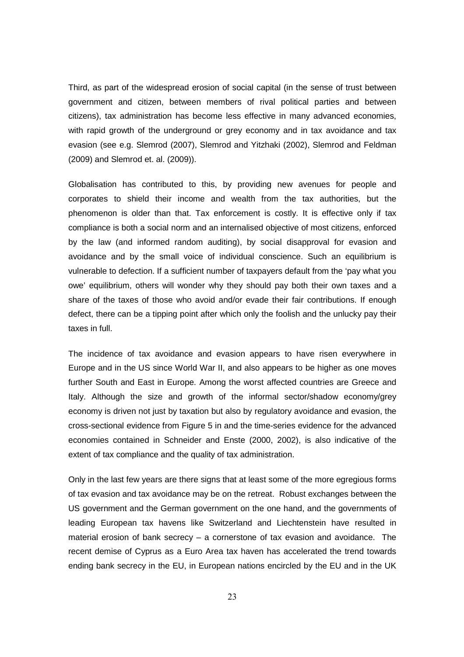Third, as part of the widespread erosion of social capital (in the sense of trust between government and citizen, between members of rival political parties and between citizens), tax administration has become less effective in many advanced economies, with rapid growth of the underground or grey economy and in tax avoidance and tax evasion (see e.g. Slemrod (2007), Slemrod and Yitzhaki (2002), Slemrod and Feldman (2009) and Slemrod et. al. (2009)).

Globalisation has contributed to this, by providing new avenues for people and corporates to shield their income and wealth from the tax authorities, but the phenomenon is older than that. Tax enforcement is costly. It is effective only if tax compliance is both a social norm and an internalised objective of most citizens, enforced by the law (and informed random auditing), by social disapproval for evasion and avoidance and by the small voice of individual conscience. Such an equilibrium is vulnerable to defection. If a sufficient number of taxpayers default from the 'pay what you owe' equilibrium, others will wonder why they should pay both their own taxes and a share of the taxes of those who avoid and/or evade their fair contributions. If enough defect, there can be a tipping point after which only the foolish and the unlucky pay their taxes in full.

The incidence of tax avoidance and evasion appears to have risen everywhere in Europe and in the US since World War II, and also appears to be higher as one moves further South and East in Europe. Among the worst affected countries are Greece and Italy. Although the size and growth of the informal sector/shadow economy/grey economy is driven not just by taxation but also by regulatory avoidance and evasion, the cross-sectional evidence from Figure 5 in and the time-series evidence for the advanced economies contained in Schneider and Enste (2000, 2002), is also indicative of the extent of tax compliance and the quality of tax administration.

Only in the last few years are there signs that at least some of the more egregious forms of tax evasion and tax avoidance may be on the retreat. Robust exchanges between the US government and the German government on the one hand, and the governments of leading European tax havens like Switzerland and Liechtenstein have resulted in material erosion of bank secrecy – a cornerstone of tax evasion and avoidance. The recent demise of Cyprus as a Euro Area tax haven has accelerated the trend towards ending bank secrecy in the EU, in European nations encircled by the EU and in the UK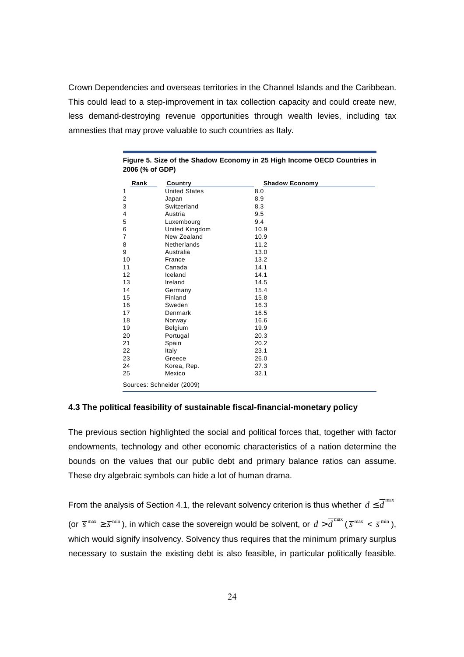Crown Dependencies and overseas territories in the Channel Islands and the Caribbean. This could lead to a step-improvement in tax collection capacity and could create new, less demand-destroying revenue opportunities through wealth levies, including tax amnesties that may prove valuable to such countries as Italy.

| Rank                      | Country              | <b>Shadow Economy</b> |  |  |  |
|---------------------------|----------------------|-----------------------|--|--|--|
| 1                         | <b>United States</b> | 8.0                   |  |  |  |
| $\overline{2}$            | Japan                | 8.9                   |  |  |  |
| 3                         | Switzerland          | 8.3                   |  |  |  |
| 4                         | Austria              | 9.5                   |  |  |  |
| 5                         | Luxembourg           | 9.4                   |  |  |  |
| 6                         | United Kingdom       | 10.9                  |  |  |  |
| $\overline{7}$            | New Zealand          | 10.9                  |  |  |  |
| 8                         | Netherlands          | 11.2                  |  |  |  |
| 9                         | Australia            | 13.0                  |  |  |  |
| 10                        | France               | 13.2                  |  |  |  |
| 11                        | Canada               | 14.1                  |  |  |  |
| 12                        | Iceland              | 14.1                  |  |  |  |
| 13                        | Ireland              | 14.5                  |  |  |  |
| 14                        | Germany              | 15.4                  |  |  |  |
| 15                        | Finland              | 15.8                  |  |  |  |
| 16                        | Sweden               | 16.3                  |  |  |  |
| 17                        | Denmark              | 16.5                  |  |  |  |
| 18                        | Norway               | 16.6                  |  |  |  |
| 19                        | Belgium              | 19.9                  |  |  |  |
| 20                        | Portugal             | 20.3                  |  |  |  |
| 21                        | Spain                | 20.2                  |  |  |  |
| 22                        | Italy                | 23.1                  |  |  |  |
| 23                        | Greece               | 26.0                  |  |  |  |
| 24                        | Korea, Rep.          | 27.3                  |  |  |  |
| 25                        | Mexico               | 32.1                  |  |  |  |
| Sources: Schneider (2009) |                      |                       |  |  |  |

|                 |  |  |  | Figure 5. Size of the Shadow Economy in 25 High Income OECD Countries in |
|-----------------|--|--|--|--------------------------------------------------------------------------|
| 2006 (% of GDP) |  |  |  |                                                                          |

#### **4.3 The political feasibility of sustainable fiscal-financial-monetary policy**

The previous section highlighted the social and political forces that, together with factor endowments, technology and other economic characteristics of a nation determine the bounds on the values that our public debt and primary balance ratios can assume. These dry algebraic symbols can hide a lot of human drama.

From the analysis of Section 4.1, the relevant solvency criterion is thus whether  $d \leq \overline{d}^{\max}$ (or  $\overline{s}^{\max} \ge \overline{s}^{\min}$ ), in which case the sovereign would be solvent, or  $d > \overline{d}^{\max}$  ( $\overline{s}^{\max}$  <  $\overline{s}^{\min}$ ), which would signify insolvency. Solvency thus requires that the minimum primary surplus necessary to sustain the existing debt is also feasible, in particular politically feasible.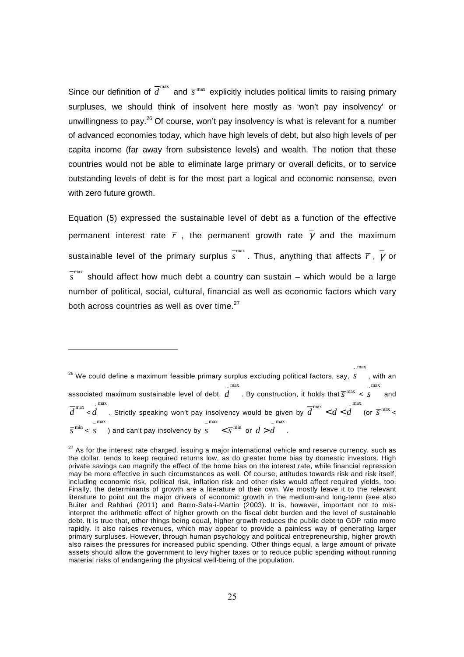Since our definition of  $\overline{d}^{\max}$  and  $\overline{s}^{\max}$  explicitly includes political limits to raising primary surpluses, we should think of insolvent here mostly as 'won't pay insolvency' or unwillingness to pay.<sup>26</sup> Of course, won't pay insolvency is what is relevant for a number of advanced economies today, which have high levels of debt, but also high levels of per capita income (far away from subsistence levels) and wealth. The notion that these countries would not be able to eliminate large primary or overall deficits, or to service outstanding levels of debt is for the most part a logical and economic nonsense, even with zero future growth.

Equation (5) expressed the sustainable level of debt as a function of the effective permanent interest rate  $\bar{r}$ , the permanent growth rate  $\bar{v}$  and the maximum sustainable level of the primary surplus  $\overline{s}^{\max}$ . Thus, anything that affects  $\overline{r}$  ,  $\overline{\gamma}$  or <sup>-max</sup> should affect how much debt a country can sustain – which would be a large number of political, social, cultural, financial as well as economic factors which vary both across countries as well as over time. $27$ 

 $26$  We could define a maximum feasible primary surplus excluding political factors, say, s  $\sim$ max *s* , with an associated maximum sustainable level of debt,  $d$   $\;$  . By construction, it holds that  $\overline{s}^{\,\mathrm{max}}$   $\,<$  $max$  $\sim$  max *s* and  $\overline{d}^{\max}$  $\sim$  max  $\overline{d}^{\max}$  . Strictly speaking won't pay insolvency would be given by  $\overline{d}^{\max} < d < \widetilde{d}^{\max}$  (or  $\overline{s}^{\max} < d$ max  $\overline{s}^{\min}$  < s ) and can't pay insolvency by  $s$   $\overline{\phantom{x}}$   $\overline{s}^{\min}$  or  $d$   $>$   $d$   $\overline{\phantom{a}}$  .  $\sim$  max  $\sim$ max  $\frac{m}{x}$ 

 $27$  As for the interest rate charged, issuing a major international vehicle and reserve currency, such as the dollar, tends to keep required returns low, as do greater home bias by domestic investors. High private savings can magnify the effect of the home bias on the interest rate, while financial repression may be more effective in such circumstances as well. Of course, attitudes towards risk and risk itself, including economic risk, political risk, inflation risk and other risks would affect required yields, too. Finally, the determinants of growth are a literature of their own. We mostly leave it to the relevant literature to point out the major drivers of economic growth in the medium-and long-term (see also Buiter and Rahbari (2011) and Barro-Sala-i-Martin (2003). It is, however, important not to misinterpret the arithmetic effect of higher growth on the fiscal debt burden and the level of sustainable debt. It is true that, other things being equal, higher growth reduces the public debt to GDP ratio more rapidly. It also raises revenues, which may appear to provide a painless way of generating larger primary surpluses. However, through human psychology and political entrepreneurship, higher growth also raises the pressures for increased public spending. Other things equal, a large amount of private assets should allow the government to levy higher taxes or to reduce public spending without running material risks of endangering the physical well-being of the population.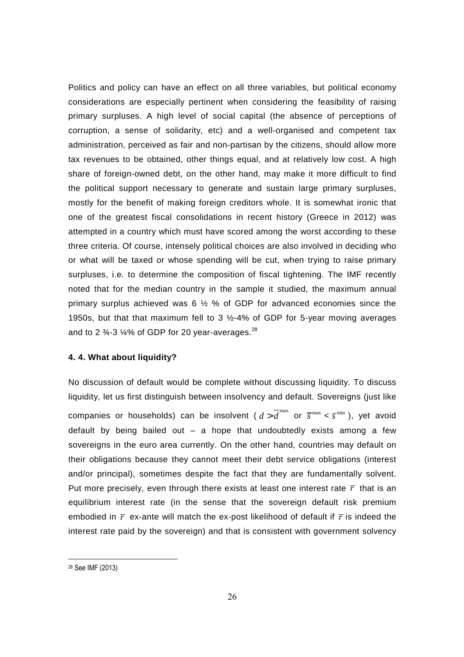Politics and policy can have an effect on all three variables, but political economy considerations are especially pertinent when considering the feasibility of raising primary surpluses. A high level of social capital (the absence of perceptions of corruption, a sense of solidarity, etc) and a well-organised and competent tax administration, perceived as fair and non-partisan by the citizens, should allow more tax revenues to be obtained, other things equal, and at relatively low cost. A high share of foreign-owned debt, on the other hand, may make it more difficult to find the political support necessary to generate and sustain large primary surpluses, mostly for the benefit of making foreign creditors whole. It is somewhat ironic that one of the greatest fiscal consolidations in recent history (Greece in 2012) was attempted in a country which must have scored among the worst according to these three criteria. Of course, intensely political choices are also involved in deciding who or what will be taxed or whose spending will be cut, when trying to raise primary surpluses, i.e. to determine the composition of fiscal tightening. The IMF recently noted that for the median country in the sample it studied, the maximum annual primary surplus achieved was 6 ½ % of GDP for advanced economies since the 1950s, but that that maximum fell to 3 ½-4% of GDP for 5-year moving averages and to 2  $\frac{3}{4}$ -3  $\frac{1}{4}$ % of GDP for 20 year-averages.<sup>28</sup>

#### **4. 4. What about liquidity?**

No discussion of default would be complete without discussing liquidity. To discuss liquidity, let us first distinguish between insolvency and default. Sovereigns (just like companies or households) can be insolvent (  $d > \overline{d}^{\max}$  or  $\overline{s}^{\max} < \overline{s}^{\min}$  ), yet avoid default by being bailed out  $-$  a hope that undoubtedly exists among a few sovereigns in the euro area currently. On the other hand, countries may default on their obligations because they cannot meet their debt service obligations (interest and/or principal), sometimes despite the fact that they are fundamentally solvent. Put more precisely, even through there exists at least one interest rate  $\bar{r}$  that is an equilibrium interest rate (in the sense that the sovereign default risk premium embodied in *r* ex-ante will match the ex-post likelihood of default if *r* is indeed the interest rate paid by the sovereign) and that is consistent with government solvency

<sup>28</sup> See IMF (2013)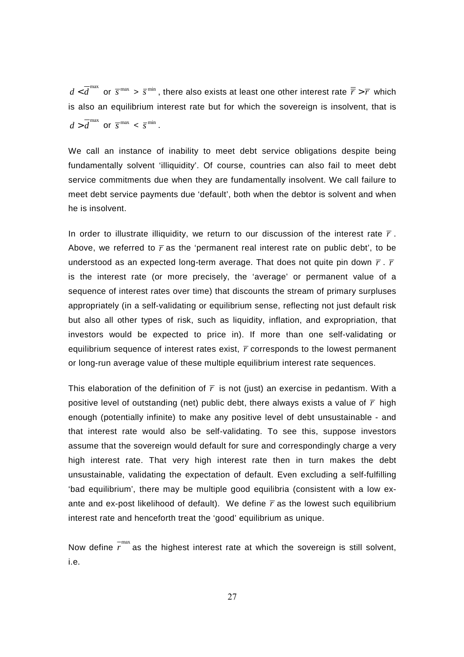$d < \overline{d}^{\max}$  or  $\overline{s}^{\max} > \overline{s}^{\min}$ , there also exists at least one other interest rate  $\overline{\overline{r}} > \overline{r}$  which is also an equilibrium interest rate but for which the sovereign is insolvent, that is  $d > \overline{d}^{\max}$  or  $\overline{s}^{\max} < \overline{s}^{\min}$ .

We call an instance of inability to meet debt service obligations despite being fundamentally solvent 'illiquidity'. Of course, countries can also fail to meet debt service commitments due when they are fundamentally insolvent. We call failure to meet debt service payments due 'default', both when the debtor is solvent and when he is insolvent.

In order to illustrate illiquidity, we return to our discussion of the interest rate  $\bar{r}$ . Above, we referred to  $\bar{r}$  as the 'permanent real interest rate on public debt', to be understood as an expected long-term average. That does not quite pin down *r* . *r* is the interest rate (or more precisely, the 'average' or permanent value of a sequence of interest rates over time) that discounts the stream of primary surpluses appropriately (in a self-validating or equilibrium sense, reflecting not just default risk but also all other types of risk, such as liquidity, inflation, and expropriation, that investors would be expected to price in). If more than one self-validating or equilibrium sequence of interest rates exist,  $\bar{r}$  corresponds to the lowest permanent or long-run average value of these multiple equilibrium interest rate sequences.

This elaboration of the definition of  $\bar{r}$  is not (just) an exercise in pedantism. With a positive level of outstanding (net) public debt, there always exists a value of  $\bar{r}$  high enough (potentially infinite) to make any positive level of debt unsustainable - and that interest rate would also be self-validating. To see this, suppose investors assume that the sovereign would default for sure and correspondingly charge a very high interest rate. That very high interest rate then in turn makes the debt unsustainable, validating the expectation of default. Even excluding a self-fulfilling 'bad equilibrium', there may be multiple good equilibria (consistent with a low exante and ex-post likelihood of default). We define  $\bar{r}$  as the lowest such equilibrium interest rate and henceforth treat the 'good' equilibrium as unique.

Now define  $\overline{r}^{\max}$  as the highest interest rate at which the sovereign is still solvent, i.e.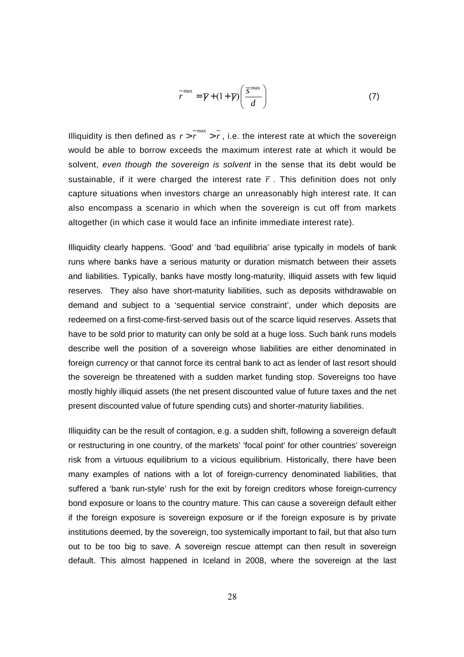$$
\overline{r}^{\max} = \overline{\gamma} + (1 + \overline{\gamma}) \left( \frac{\overline{s}^{\max}}{d} \right)
$$
 (7)

Illiquidity is then defined as  $r > r^{\frac{-\max}{\max}} > r$ , i.e. the interest rate at which the sovereign would be able to borrow exceeds the maximum interest rate at which it would be solvent, even though the sovereign is solvent in the sense that its debt would be sustainable, if it were charged the interest rate  $\bar{r}$ . This definition does not only capture situations when investors charge an unreasonably high interest rate. It can also encompass a scenario in which when the sovereign is cut off from markets altogether (in which case it would face an infinite immediate interest rate).

Illiquidity clearly happens. 'Good' and 'bad equilibria' arise typically in models of bank runs where banks have a serious maturity or duration mismatch between their assets and liabilities. Typically, banks have mostly long-maturity, illiquid assets with few liquid reserves. They also have short-maturity liabilities, such as deposits withdrawable on demand and subject to a 'sequential service constraint', under which deposits are redeemed on a first-come-first-served basis out of the scarce liquid reserves. Assets that have to be sold prior to maturity can only be sold at a huge loss. Such bank runs models describe well the position of a sovereign whose liabilities are either denominated in foreign currency or that cannot force its central bank to act as lender of last resort should the sovereign be threatened with a sudden market funding stop. Sovereigns too have mostly highly illiquid assets (the net present discounted value of future taxes and the net present discounted value of future spending cuts) and shorter-maturity liabilities.

Illiquidity can be the result of contagion, e.g. a sudden shift, following a sovereign default or restructuring in one country, of the markets' 'focal point' for other countries' sovereign risk from a virtuous equilibrium to a vicious equilibrium. Historically, there have been many examples of nations with a lot of foreign-currency denominated liabilities, that suffered a 'bank run-style' rush for the exit by foreign creditors whose foreign-currency bond exposure or loans to the country mature. This can cause a sovereign default either if the foreign exposure is sovereign exposure or if the foreign exposure is by private institutions deemed, by the sovereign, too systemically important to fail, but that also turn out to be too big to save. A sovereign rescue attempt can then result in sovereign default. This almost happened in Iceland in 2008, where the sovereign at the last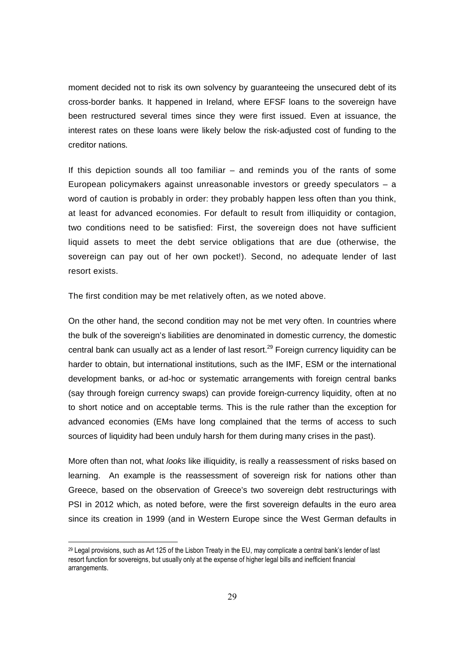moment decided not to risk its own solvency by guaranteeing the unsecured debt of its cross-border banks. It happened in Ireland, where EFSF loans to the sovereign have been restructured several times since they were first issued. Even at issuance, the interest rates on these loans were likely below the risk-adjusted cost of funding to the creditor nations.

If this depiction sounds all too familiar – and reminds you of the rants of some European policymakers against unreasonable investors or greedy speculators  $-$  a word of caution is probably in order: they probably happen less often than you think, at least for advanced economies. For default to result from illiquidity or contagion, two conditions need to be satisfied: First, the sovereign does not have sufficient liquid assets to meet the debt service obligations that are due (otherwise, the sovereign can pay out of her own pocket!). Second, no adequate lender of last resort exists.

The first condition may be met relatively often, as we noted above.

On the other hand, the second condition may not be met very often. In countries where the bulk of the sovereign's liabilities are denominated in domestic currency, the domestic central bank can usually act as a lender of last resort.<sup>29</sup> Foreign currency liquidity can be harder to obtain, but international institutions, such as the IMF, ESM or the international development banks, or ad-hoc or systematic arrangements with foreign central banks (say through foreign currency swaps) can provide foreign-currency liquidity, often at no to short notice and on acceptable terms. This is the rule rather than the exception for advanced economies (EMs have long complained that the terms of access to such sources of liquidity had been unduly harsh for them during many crises in the past).

More often than not, what *looks* like illiquidity, is really a reassessment of risks based on learning. An example is the reassessment of sovereign risk for nations other than Greece, based on the observation of Greece's two sovereign debt restructurings with PSI in 2012 which, as noted before, were the first sovereign defaults in the euro area since its creation in 1999 (and in Western Europe since the West German defaults in

<u>.</u>

<sup>29</sup> Legal provisions, such as Art 125 of the Lisbon Treaty in the EU, may complicate a central bank's lender of last resort function for sovereigns, but usually only at the expense of higher legal bills and inefficient financial arrangements.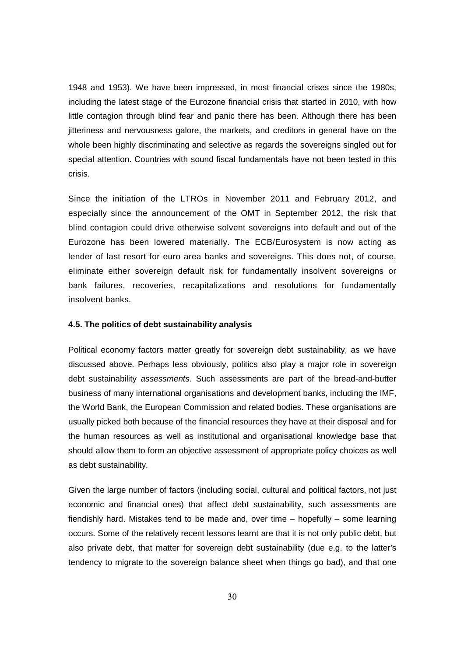1948 and 1953). We have been impressed, in most financial crises since the 1980s, including the latest stage of the Eurozone financial crisis that started in 2010, with how little contagion through blind fear and panic there has been. Although there has been jitteriness and nervousness galore, the markets, and creditors in general have on the whole been highly discriminating and selective as regards the sovereigns singled out for special attention. Countries with sound fiscal fundamentals have not been tested in this crisis.

Since the initiation of the LTROs in November 2011 and February 2012, and especially since the announcement of the OMT in September 2012, the risk that blind contagion could drive otherwise solvent sovereigns into default and out of the Eurozone has been lowered materially. The ECB/Eurosystem is now acting as lender of last resort for euro area banks and sovereigns. This does not, of course, eliminate either sovereign default risk for fundamentally insolvent sovereigns or bank failures, recoveries, recapitalizations and resolutions for fundamentally insolvent banks.

#### **4.5. The politics of debt sustainability analysis**

Political economy factors matter greatly for sovereign debt sustainability, as we have discussed above. Perhaps less obviously, politics also play a major role in sovereign debt sustainability assessments. Such assessments are part of the bread-and-butter business of many international organisations and development banks, including the IMF, the World Bank, the European Commission and related bodies. These organisations are usually picked both because of the financial resources they have at their disposal and for the human resources as well as institutional and organisational knowledge base that should allow them to form an objective assessment of appropriate policy choices as well as debt sustainability.

Given the large number of factors (including social, cultural and political factors, not just economic and financial ones) that affect debt sustainability, such assessments are fiendishly hard. Mistakes tend to be made and, over time – hopefully – some learning occurs. Some of the relatively recent lessons learnt are that it is not only public debt, but also private debt, that matter for sovereign debt sustainability (due e.g. to the latter's tendency to migrate to the sovereign balance sheet when things go bad), and that one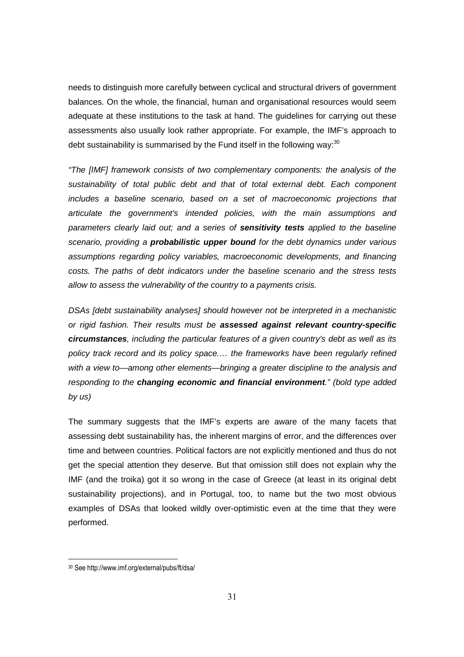needs to distinguish more carefully between cyclical and structural drivers of government balances. On the whole, the financial, human and organisational resources would seem adequate at these institutions to the task at hand. The guidelines for carrying out these assessments also usually look rather appropriate. For example, the IMF's approach to debt sustainability is summarised by the Fund itself in the following way: $30$ 

"The [IMF] framework consists of two complementary components: the analysis of the sustainability of total public debt and that of total external debt. Each component includes a baseline scenario, based on a set of macroeconomic projections that articulate the government's intended policies, with the main assumptions and parameters clearly laid out; and a series of **sensitivity tests** applied to the baseline scenario, providing a **probabilistic upper bound** for the debt dynamics under various assumptions regarding policy variables, macroeconomic developments, and financing costs. The paths of debt indicators under the baseline scenario and the stress tests allow to assess the vulnerability of the country to a payments crisis.

DSAs [debt sustainability analyses] should however not be interpreted in a mechanistic or rigid fashion. Their results must be **assessed against relevant country-specific circumstances**, including the particular features of a given country's debt as well as its policy track record and its policy space.… the frameworks have been regularly refined with a view to—among other elements—bringing a greater discipline to the analysis and responding to the **changing economic and financial environment**." (bold type added by us)

The summary suggests that the IMF's experts are aware of the many facets that assessing debt sustainability has, the inherent margins of error, and the differences over time and between countries. Political factors are not explicitly mentioned and thus do not get the special attention they deserve. But that omission still does not explain why the IMF (and the troika) got it so wrong in the case of Greece (at least in its original debt sustainability projections), and in Portugal, too, to name but the two most obvious examples of DSAs that looked wildly over-optimistic even at the time that they were performed.

<sup>30</sup> See http://www.imf.org/external/pubs/ft/dsa/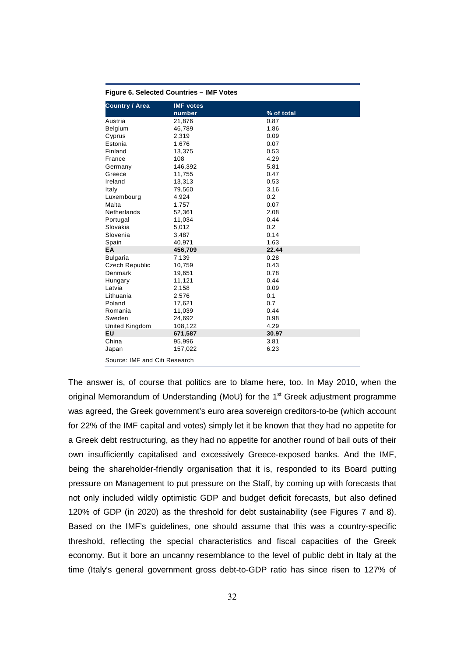| rigure 6. Selected Countries – Infr Votes |                  |            |  |  |  |  |  |
|-------------------------------------------|------------------|------------|--|--|--|--|--|
| <b>Country / Area</b>                     | <b>IMF</b> votes |            |  |  |  |  |  |
|                                           | number           | % of total |  |  |  |  |  |
| Austria                                   | 21,876           | 0.87       |  |  |  |  |  |
| Belgium                                   | 46,789           | 1.86       |  |  |  |  |  |
| Cyprus                                    | 2,319            | 0.09       |  |  |  |  |  |
| Estonia                                   | 1,676            | 0.07       |  |  |  |  |  |
| Finland                                   | 13,375           | 0.53       |  |  |  |  |  |
| France                                    | 108              | 4.29       |  |  |  |  |  |
| Germany                                   | 146,392          | 5.81       |  |  |  |  |  |
| Greece                                    | 11,755           | 0.47       |  |  |  |  |  |
| Ireland                                   | 13,313           | 0.53       |  |  |  |  |  |
| Italy                                     | 79,560           | 3.16       |  |  |  |  |  |
| Luxembourg                                | 4,924            | 0.2        |  |  |  |  |  |
| Malta                                     | 1,757            | 0.07       |  |  |  |  |  |
| Netherlands                               | 52,361           | 2.08       |  |  |  |  |  |
| Portugal                                  | 11,034           | 0.44       |  |  |  |  |  |
| Slovakia                                  | 5,012            | 0.2        |  |  |  |  |  |
| Slovenia                                  | 3,487            | 0.14       |  |  |  |  |  |
| Spain                                     | 40,971           | 1.63       |  |  |  |  |  |
| EA                                        | 456,709          | 22.44      |  |  |  |  |  |
| <b>Bulgaria</b>                           | 7,139            | 0.28       |  |  |  |  |  |
| <b>Czech Republic</b>                     | 10,759           | 0.43       |  |  |  |  |  |
| Denmark                                   | 19,651           | 0.78       |  |  |  |  |  |
| Hungary                                   | 11,121           | 0.44       |  |  |  |  |  |
| Latvia                                    | 2,158            | 0.09       |  |  |  |  |  |
| Lithuania                                 | 2,576            | 0.1        |  |  |  |  |  |
| Poland                                    | 17,621           | 0.7        |  |  |  |  |  |
| Romania                                   | 11,039           | 0.44       |  |  |  |  |  |
| Sweden                                    | 24,692           | 0.98       |  |  |  |  |  |
| United Kingdom                            | 108,122          | 4.29       |  |  |  |  |  |
| EU                                        | 671,587          | 30.97      |  |  |  |  |  |
| China                                     | 95,996           | 3.81       |  |  |  |  |  |
| Japan                                     | 157,022          | 6.23       |  |  |  |  |  |
| Source: IMF and Citi Research             |                  |            |  |  |  |  |  |

**Figure 6. Selected Countries – IMF Votes** 

The answer is, of course that politics are to blame here, too. In May 2010, when the original Memorandum of Understanding (MoU) for the  $1<sup>st</sup>$  Greek adjustment programme was agreed, the Greek government's euro area sovereign creditors-to-be (which account for 22% of the IMF capital and votes) simply let it be known that they had no appetite for a Greek debt restructuring, as they had no appetite for another round of bail outs of their own insufficiently capitalised and excessively Greece-exposed banks. And the IMF, being the shareholder-friendly organisation that it is, responded to its Board putting pressure on Management to put pressure on the Staff, by coming up with forecasts that not only included wildly optimistic GDP and budget deficit forecasts, but also defined 120% of GDP (in 2020) as the threshold for debt sustainability (see Figures 7 and 8). Based on the IMF's guidelines, one should assume that this was a country-specific threshold, reflecting the special characteristics and fiscal capacities of the Greek economy. But it bore an uncanny resemblance to the level of public debt in Italy at the time (Italy's general government gross debt-to-GDP ratio has since risen to 127% of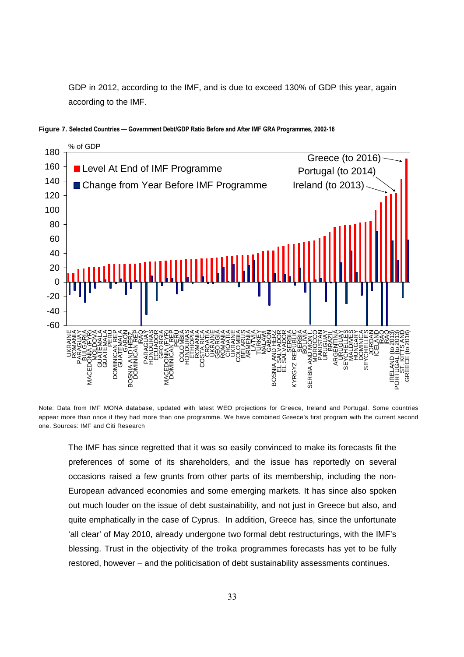GDP in 2012, according to the IMF, and is due to exceed 130% of GDP this year, again according to the IMF.



**Figure 7. Selected Countries — Government Debt/GDP Ratio Before and After IMF GRA Programmes, 2002-16**

Note: Data from IMF MONA database, updated with latest WEO projections for Greece, Ireland and Portugal. Some countries appear more than once if they had more than one programme. We have combined Greece's first program with the current second one. Sources: IMF and Citi Research

The IMF has since regretted that it was so easily convinced to make its forecasts fit the preferences of some of its shareholders, and the issue has reportedly on several occasions raised a few grunts from other parts of its membership, including the non-European advanced economies and some emerging markets. It has since also spoken out much louder on the issue of debt sustainability, and not just in Greece but also, and quite emphatically in the case of Cyprus. In addition, Greece has, since the unfortunate 'all clear' of May 2010, already undergone two formal debt restructurings, with the IMF's blessing. Trust in the objectivity of the troika programmes forecasts has yet to be fully restored, however – and the politicisation of debt sustainability assessments continues.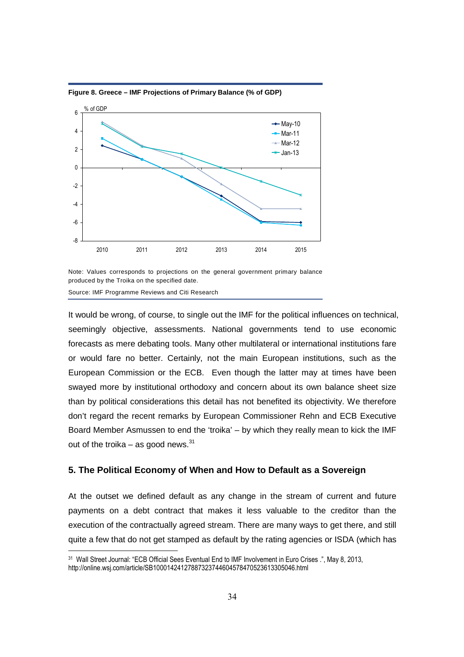

**Figure 8. Greece – IMF Projections of Primary Balance (% of GDP)** 

Note: Values corresponds to projections on the general government primary balance produced by the Troika on the specified date.

Source: IMF Programme Reviews and Citi Research

-

It would be wrong, of course, to single out the IMF for the political influences on technical, seemingly objective, assessments. National governments tend to use economic forecasts as mere debating tools. Many other multilateral or international institutions fare or would fare no better. Certainly, not the main European institutions, such as the European Commission or the ECB. Even though the latter may at times have been swayed more by institutional orthodoxy and concern about its own balance sheet size than by political considerations this detail has not benefited its objectivity. We therefore don't regard the recent remarks by European Commissioner Rehn and ECB Executive Board Member Asmussen to end the 'troika' – by which they really mean to kick the IMF out of the troika – as good news. $^{31}$ 

#### **5. The Political Economy of When and How to Default as a Sovereign**

At the outset we defined default as any change in the stream of current and future payments on a debt contract that makes it less valuable to the creditor than the execution of the contractually agreed stream. There are many ways to get there, and still quite a few that do not get stamped as default by the rating agencies or ISDA (which has

<sup>31</sup> Wall Street Journal: "ECB Official Sees Eventual End to IMF Involvement in Euro Crises .", May 8, 2013, http://online.wsj.com/article/SB10001424127887323744604578470523613305046.html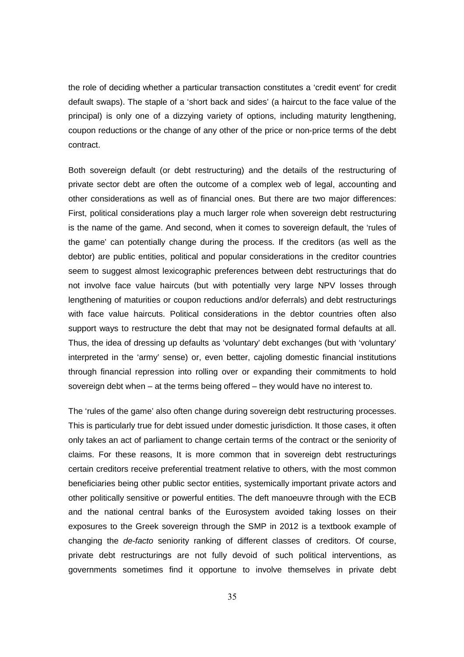the role of deciding whether a particular transaction constitutes a 'credit event' for credit default swaps). The staple of a 'short back and sides' (a haircut to the face value of the principal) is only one of a dizzying variety of options, including maturity lengthening, coupon reductions or the change of any other of the price or non-price terms of the debt contract.

Both sovereign default (or debt restructuring) and the details of the restructuring of private sector debt are often the outcome of a complex web of legal, accounting and other considerations as well as of financial ones. But there are two major differences: First, political considerations play a much larger role when sovereign debt restructuring is the name of the game. And second, when it comes to sovereign default, the 'rules of the game' can potentially change during the process. If the creditors (as well as the debtor) are public entities, political and popular considerations in the creditor countries seem to suggest almost lexicographic preferences between debt restructurings that do not involve face value haircuts (but with potentially very large NPV losses through lengthening of maturities or coupon reductions and/or deferrals) and debt restructurings with face value haircuts. Political considerations in the debtor countries often also support ways to restructure the debt that may not be designated formal defaults at all. Thus, the idea of dressing up defaults as 'voluntary' debt exchanges (but with 'voluntary' interpreted in the 'army' sense) or, even better, cajoling domestic financial institutions through financial repression into rolling over or expanding their commitments to hold sovereign debt when – at the terms being offered – they would have no interest to.

The 'rules of the game' also often change during sovereign debt restructuring processes. This is particularly true for debt issued under domestic jurisdiction. It those cases, it often only takes an act of parliament to change certain terms of the contract or the seniority of claims. For these reasons, It is more common that in sovereign debt restructurings certain creditors receive preferential treatment relative to others, with the most common beneficiaries being other public sector entities, systemically important private actors and other politically sensitive or powerful entities. The deft manoeuvre through with the ECB and the national central banks of the Eurosystem avoided taking losses on their exposures to the Greek sovereign through the SMP in 2012 is a textbook example of changing the de-facto seniority ranking of different classes of creditors. Of course, private debt restructurings are not fully devoid of such political interventions, as governments sometimes find it opportune to involve themselves in private debt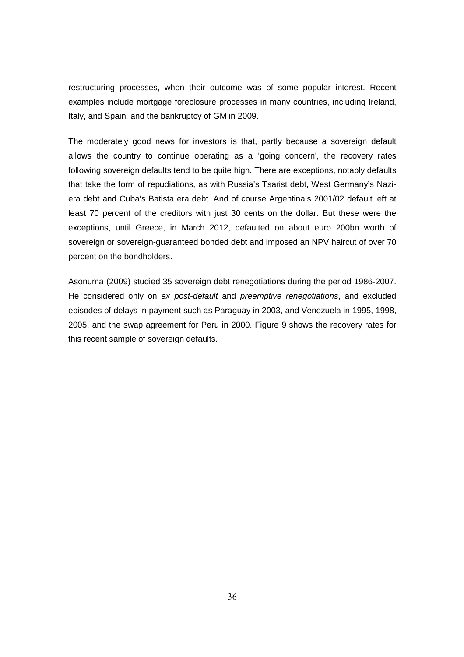restructuring processes, when their outcome was of some popular interest. Recent examples include mortgage foreclosure processes in many countries, including Ireland, Italy, and Spain, and the bankruptcy of GM in 2009.

The moderately good news for investors is that, partly because a sovereign default allows the country to continue operating as a 'going concern', the recovery rates following sovereign defaults tend to be quite high. There are exceptions, notably defaults that take the form of repudiations, as with Russia's Tsarist debt, West Germany's Naziera debt and Cuba's Batista era debt. And of course Argentina's 2001/02 default left at least 70 percent of the creditors with just 30 cents on the dollar. But these were the exceptions, until Greece, in March 2012, defaulted on about euro 200bn worth of sovereign or sovereign-guaranteed bonded debt and imposed an NPV haircut of over 70 percent on the bondholders.

Asonuma (2009) studied 35 sovereign debt renegotiations during the period 1986-2007. He considered only on ex post-default and preemptive renegotiations, and excluded episodes of delays in payment such as Paraguay in 2003, and Venezuela in 1995, 1998, 2005, and the swap agreement for Peru in 2000. Figure 9 shows the recovery rates for this recent sample of sovereign defaults.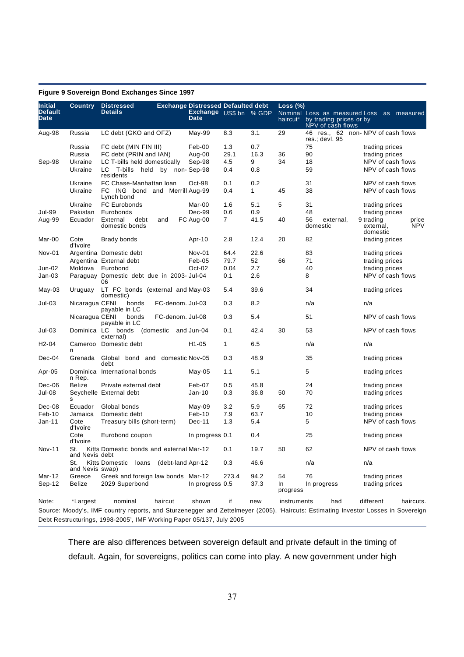| <b>Initial</b>         | Country                | <b>Distressed</b>                                                    |                  | <b>Exchange Distressed Defaulted debt</b> |                |              | Loss $(\%)$    |                                                                               |                                                                                                                                   |
|------------------------|------------------------|----------------------------------------------------------------------|------------------|-------------------------------------------|----------------|--------------|----------------|-------------------------------------------------------------------------------|-----------------------------------------------------------------------------------------------------------------------------------|
| <b>Default</b><br>Date |                        | <b>Details</b>                                                       |                  | Exchange US\$ bn % GDP<br><b>Date</b>     |                |              | haircut*       | Nominal Loss as measured Loss<br>by trading prices or by<br>NPV of cash flows | as measured                                                                                                                       |
| Aug-98                 | Russia                 | LC debt (GKO and OFZ)                                                |                  | May-99                                    | 8.3            | 3.1          | 29             | 46 res.,<br>$res.;$ devl. $95$                                                | 62 non-NPV of cash flows                                                                                                          |
|                        | Russia                 | FC debt (MIN FIN III)                                                |                  | Feb-00                                    | 1.3            | 0.7          |                | 75                                                                            | trading prices                                                                                                                    |
|                        | Russia                 | FC debt (PRIN and IAN)                                               |                  | Aug-00                                    | 29.1           | 16.3         | 36             | 90                                                                            | trading prices                                                                                                                    |
| Sep-98                 | Ukraine                | LC T-bills held domestically                                         |                  | Sep-98                                    | 4.5            | 9            | 34             | 18                                                                            | NPV of cash flows                                                                                                                 |
|                        | Ukraine                | LC<br>T-bills held by non-Sep-98<br>residents                        |                  |                                           | 0.4            | 0.8          |                | 59                                                                            | NPV of cash flows                                                                                                                 |
|                        | Ukraine                | FC Chase-Manhattan Ioan                                              |                  | Oct-98                                    | 0.1            | 0.2          |                | 31                                                                            | NPV of cash flows                                                                                                                 |
|                        | Ukraine                | FC ING bond and Merrill Aug-99<br>Lynch bond                         |                  |                                           | 0.4            | $\mathbf{1}$ | 45             | 38                                                                            | NPV of cash flows                                                                                                                 |
|                        | Ukraine                | <b>FC Eurobonds</b>                                                  |                  | Mar-00                                    | 1.6            | 5.1          | 5              | 31                                                                            | trading prices                                                                                                                    |
| Jul-99                 | Pakistan               | Eurobonds                                                            |                  | Dec-99                                    | 0.6            | 0.9          |                | 48                                                                            | trading prices                                                                                                                    |
| Aug-99                 | Ecuador                | External<br>debt<br>domestic bonds                                   | and              | FC Aug-00                                 | $\overline{7}$ | 41.5         | 40             | 56<br>external,<br>domestic                                                   | 9 trading<br>price<br><b>NPV</b><br>external,<br>domestic                                                                         |
| Mar-00                 | Cote<br>d'Ivoire       | <b>Brady bonds</b>                                                   |                  | Apr-10                                    | 2.8            | 12.4         | 20             | 82                                                                            | trading prices                                                                                                                    |
| Nov-01                 |                        | Argentina Domestic debt                                              |                  | Nov-01                                    | 64.4           | 22.6         |                | 83                                                                            | trading prices                                                                                                                    |
|                        |                        | Argentina External debt                                              |                  | Feb-05                                    | 79.7           | 52           | 66             | 71                                                                            | trading prices                                                                                                                    |
| Jun-02                 | Moldova                | Eurobond                                                             |                  | Oct-02                                    | 0.04           | 2.7          |                | 40                                                                            | trading prices                                                                                                                    |
| Jan-03                 |                        | Paraguay Domestic debt due in 2003- Jul-04<br>06                     |                  |                                           | 0.1            | 2.6          |                | 8                                                                             | NPV of cash flows                                                                                                                 |
| May-03                 | Uruguay                | LT FC bonds (external and May-03<br>domestic)                        |                  |                                           | 5.4            | 39.6         |                | 34                                                                            | trading prices                                                                                                                    |
| Jul-03                 | Nicaragua CENI         | bonds<br>payable in LC                                               | FC-denom. Jul-03 |                                           | 0.3            | 8.2          |                | n/a                                                                           | n/a                                                                                                                               |
|                        | Nicaragua CENI         | bonds<br>payable in LC                                               | FC-denom, Jul-08 |                                           | 0.3            | 5.4          |                | 51                                                                            | NPV of cash flows                                                                                                                 |
| Jul-03                 | Dominica LC            | bonds (domestic<br>external)                                         |                  | and Jun-04                                | 0.1            | 42.4         | 30             | 53                                                                            | NPV of cash flows                                                                                                                 |
| H <sub>2</sub> -04     | n                      | Cameroo Domestic debt                                                |                  | H1-05                                     | 1              | 6.5          |                | n/a                                                                           | n/a                                                                                                                               |
| Dec-04                 | Grenada                | Global bond and domestic Nov-05<br>debt                              |                  |                                           | 0.3            | 48.9         |                | 35                                                                            | trading prices                                                                                                                    |
| Apr-05                 | n Rep.                 | Dominica International bonds                                         |                  | May-05                                    | 1.1            | 5.1          |                | 5                                                                             | trading prices                                                                                                                    |
| Dec-06                 | Belize                 | Private external debt                                                |                  | Feb-07                                    | 0.5            | 45.8         |                | 24                                                                            | trading prices                                                                                                                    |
| Jul-08                 | s                      | Seychelle External debt                                              |                  | $Jan-10$                                  | 0.3            | 36.8         | 50             | 70                                                                            | trading prices                                                                                                                    |
| Dec-08                 | Ecuador                | Global bonds                                                         |                  | $May-09$                                  | 3.2            | 5.9          | 65             | 72                                                                            | trading prices                                                                                                                    |
| Feb-10                 | Jamaica                | Domestic debt                                                        |                  | Feb-10                                    | 7.9            | 63.7         |                | 10                                                                            | trading prices                                                                                                                    |
| Jan-11                 | Cote<br>d'Ivoire       | Treasury bills (short-term)                                          |                  | Dec-11                                    | 1.3            | 5.4          |                | 5                                                                             | NPV of cash flows                                                                                                                 |
|                        | Cote<br>d'Ivoire       | Eurobond coupon                                                      |                  | In progress 0.1                           |                | 0.4          |                | 25                                                                            | trading prices                                                                                                                    |
| Nov-11                 | St.<br>and Nevis debt  | Kitts Domestic bonds and external Mar-12                             |                  |                                           | 0.1            | 19.7         | 50             | 62                                                                            | NPV of cash flows                                                                                                                 |
|                        | St.<br>and Nevis swap) | Kitts Domestic<br>loans (debt-land Apr-12                            |                  |                                           | 0.3            | 46.6         |                | n/a                                                                           | n/a                                                                                                                               |
| Mar-12                 | Greece                 | Greek and foreign law bonds Mar-12                                   |                  |                                           | 273.4          | 94.2         | 54             | 76                                                                            | trading prices                                                                                                                    |
| Sep-12                 | Belize                 | 2029 Superbond                                                       |                  | In progress 0.5                           |                | 37.3         | In<br>progress | In progress                                                                   | trading prices                                                                                                                    |
| Note:                  | *Largest               | nominal                                                              | haircut          | shown                                     | if             | new          | instruments    | had                                                                           | different<br>haircuts.                                                                                                            |
|                        |                        |                                                                      |                  |                                           |                |              |                |                                                                               | Source: Moody's, IMF country reports, and Sturzenegger and Zettelmeyer (2005), 'Haircuts: Estimating Investor Losses in Sovereign |
|                        |                        |                                                                      |                  |                                           |                |              |                |                                                                               |                                                                                                                                   |
|                        |                        | Debt Restructurings, 1998-2005', IMF Working Paper 05/137, July 2005 |                  |                                           |                |              |                |                                                                               |                                                                                                                                   |

#### **Figure 9 Sovereign Bond Exchanges Since 1997**

There are also differences between sovereign default and private default in the timing of default. Again, for sovereigns, politics can come into play. A new government under high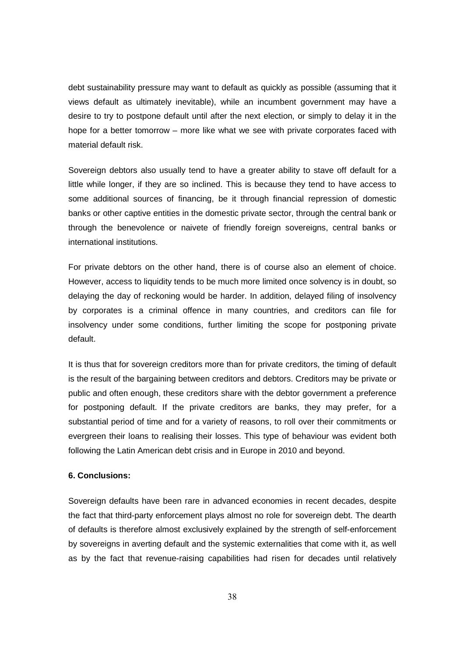debt sustainability pressure may want to default as quickly as possible (assuming that it views default as ultimately inevitable), while an incumbent government may have a desire to try to postpone default until after the next election, or simply to delay it in the hope for a better tomorrow – more like what we see with private corporates faced with material default risk.

Sovereign debtors also usually tend to have a greater ability to stave off default for a little while longer, if they are so inclined. This is because they tend to have access to some additional sources of financing, be it through financial repression of domestic banks or other captive entities in the domestic private sector, through the central bank or through the benevolence or naivete of friendly foreign sovereigns, central banks or international institutions.

For private debtors on the other hand, there is of course also an element of choice. However, access to liquidity tends to be much more limited once solvency is in doubt, so delaying the day of reckoning would be harder. In addition, delayed filing of insolvency by corporates is a criminal offence in many countries, and creditors can file for insolvency under some conditions, further limiting the scope for postponing private default.

It is thus that for sovereign creditors more than for private creditors, the timing of default is the result of the bargaining between creditors and debtors. Creditors may be private or public and often enough, these creditors share with the debtor government a preference for postponing default. If the private creditors are banks, they may prefer, for a substantial period of time and for a variety of reasons, to roll over their commitments or evergreen their loans to realising their losses. This type of behaviour was evident both following the Latin American debt crisis and in Europe in 2010 and beyond.

#### **6. Conclusions:**

Sovereign defaults have been rare in advanced economies in recent decades, despite the fact that third-party enforcement plays almost no role for sovereign debt. The dearth of defaults is therefore almost exclusively explained by the strength of self-enforcement by sovereigns in averting default and the systemic externalities that come with it, as well as by the fact that revenue-raising capabilities had risen for decades until relatively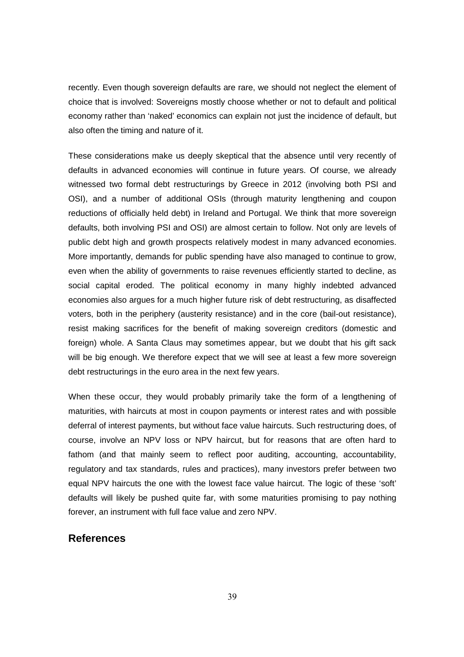recently. Even though sovereign defaults are rare, we should not neglect the element of choice that is involved: Sovereigns mostly choose whether or not to default and political economy rather than 'naked' economics can explain not just the incidence of default, but also often the timing and nature of it.

These considerations make us deeply skeptical that the absence until very recently of defaults in advanced economies will continue in future years. Of course, we already witnessed two formal debt restructurings by Greece in 2012 (involving both PSI and OSI), and a number of additional OSIs (through maturity lengthening and coupon reductions of officially held debt) in Ireland and Portugal. We think that more sovereign defaults, both involving PSI and OSI) are almost certain to follow. Not only are levels of public debt high and growth prospects relatively modest in many advanced economies. More importantly, demands for public spending have also managed to continue to grow, even when the ability of governments to raise revenues efficiently started to decline, as social capital eroded. The political economy in many highly indebted advanced economies also argues for a much higher future risk of debt restructuring, as disaffected voters, both in the periphery (austerity resistance) and in the core (bail-out resistance), resist making sacrifices for the benefit of making sovereign creditors (domestic and foreign) whole. A Santa Claus may sometimes appear, but we doubt that his gift sack will be big enough. We therefore expect that we will see at least a few more sovereign debt restructurings in the euro area in the next few years.

When these occur, they would probably primarily take the form of a lengthening of maturities, with haircuts at most in coupon payments or interest rates and with possible deferral of interest payments, but without face value haircuts. Such restructuring does, of course, involve an NPV loss or NPV haircut, but for reasons that are often hard to fathom (and that mainly seem to reflect poor auditing, accounting, accountability, regulatory and tax standards, rules and practices), many investors prefer between two equal NPV haircuts the one with the lowest face value haircut. The logic of these 'soft' defaults will likely be pushed quite far, with some maturities promising to pay nothing forever, an instrument with full face value and zero NPV.

### **References**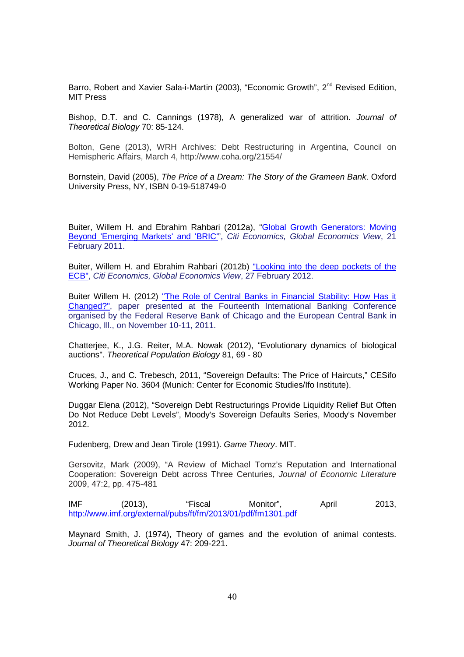Barro, Robert and Xavier Sala-i-Martin (2003), "Economic Growth", 2<sup>nd</sup> Revised Edition, MIT Press

Bishop, D.T. and C. Cannings (1978), A generalized war of attrition. Journal of Theoretical Biology 70: 85-124.

Bolton, Gene (2013), WRH Archives: Debt Restructuring in Argentina, Council on Hemispheric Affairs, March 4, http://www.coha.org/21554/

Bornstein, David (2005), The Price of a Dream: The Story of the Grameen Bank. Oxford University Press, NY, ISBN 0-19-518749-0

Buiter, Willem H. and Ebrahim Rahbari (2012a), "Global Growth Generators: Moving Beyond 'Emerging Markets' and 'BRIC", Citi Economics, Global Economics View, 21 February 2011.

Buiter, Willem H. and Ebrahim Rahbari (2012b) "Looking into the deep pockets of the ECB", Citi Economics, Global Economics View, 27 February 2012.

Buiter Willem H. (2012) "The Role of Central Banks in Financial Stability: How Has it Changed?", paper presented at the Fourteenth International Banking Conference organised by the Federal Reserve Bank of Chicago and the European Central Bank in Chicago, Ill., on November 10-11, 2011.

Chatterjee, K., J.G. Reiter, M.A. Nowak (2012), "Evolutionary dynamics of biological auctions". Theoretical Population Biology 81, 69 - 80

Cruces, J., and C. Trebesch, 2011, "Sovereign Defaults: The Price of Haircuts," CESifo Working Paper No. 3604 (Munich: Center for Economic Studies/Ifo Institute).

Duggar Elena (2012), "Sovereign Debt Restructurings Provide Liquidity Relief But Often Do Not Reduce Debt Levels", Moody's Sovereign Defaults Series, Moody's November 2012.

Fudenberg, Drew and Jean Tirole (1991). Game Theory. MIT.

Gersovitz, Mark (2009), "A Review of Michael Tomz's Reputation and International Cooperation: Sovereign Debt across Three Centuries, Journal of Economic Literature 2009, 47:2, pp. 475-481

IMF (2013), "Fiscal Monitor", April 2013, http://www.imf.org/external/pubs/ft/fm/2013/01/pdf/fm1301.pdf

Maynard Smith, J. (1974), Theory of games and the evolution of animal contests. Journal of Theoretical Biology 47: 209-221.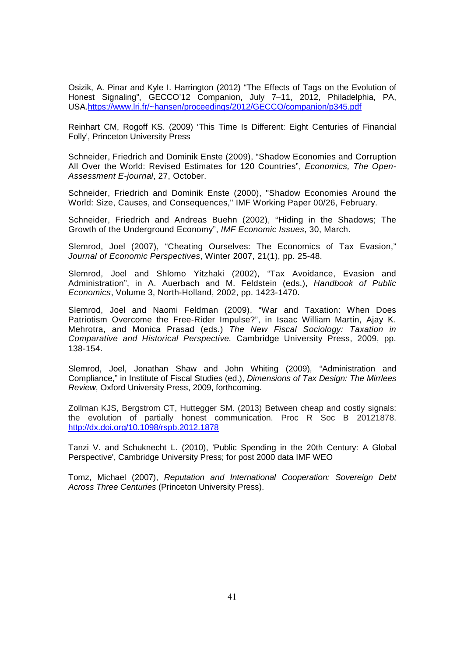Osizik, A. Pinar and Kyle I. Harrington (2012) "The Effects of Tags on the Evolution of Honest Signaling", GECCO'12 Companion, July 7–11, 2012, Philadelphia, PA, USA.https://www.lri.fr/~hansen/proceedings/2012/GECCO/companion/p345.pdf

Reinhart CM, Rogoff KS. (2009) 'This Time Is Different: Eight Centuries of Financial Folly', Princeton University Press

Schneider, Friedrich and Dominik Enste (2009), "Shadow Economies and Corruption All Over the World: Revised Estimates for 120 Countries", Economics, The Open-Assessment E-journal, 27, October.

Schneider, Friedrich and Dominik Enste (2000), "Shadow Economies Around the World: Size, Causes, and Consequences," IMF Working Paper 00/26, February.

Schneider, Friedrich and Andreas Buehn (2002), "Hiding in the Shadows; The Growth of the Underground Economy", IMF Economic Issues, 30, March.

Slemrod, Joel (2007), "Cheating Ourselves: The Economics of Tax Evasion," Journal of Economic Perspectives, Winter 2007, 21(1), pp. 25-48.

Slemrod, Joel and Shlomo Yitzhaki (2002), "Tax Avoidance, Evasion and Administration", in A. Auerbach and M. Feldstein (eds.), Handbook of Public Economics, Volume 3, North-Holland, 2002, pp. 1423-1470.

Slemrod, Joel and Naomi Feldman (2009), "War and Taxation: When Does Patriotism Overcome the Free-Rider Impulse?", in Isaac William Martin, Ajay K. Mehrotra, and Monica Prasad (eds.) The New Fiscal Sociology: Taxation in Comparative and Historical Perspective. Cambridge University Press, 2009, pp. 138-154.

Slemrod, Joel, Jonathan Shaw and John Whiting (2009), "Administration and Compliance," in Institute of Fiscal Studies (ed.), Dimensions of Tax Design: The Mirrlees Review, Oxford University Press, 2009, forthcoming.

Zollman KJS, Bergstrom CT, Huttegger SM. (2013) Between cheap and costly signals: the evolution of partially honest communication. Proc R Soc B 20121878. http://dx.doi.org/10.1098/rspb.2012.1878

Tanzi V. and Schuknecht L. (2010), 'Public Spending in the 20th Century: A Global Perspective', Cambridge University Press; for post 2000 data IMF WEO

Tomz, Michael (2007), Reputation and International Cooperation: Sovereign Debt Across Three Centuries (Princeton University Press).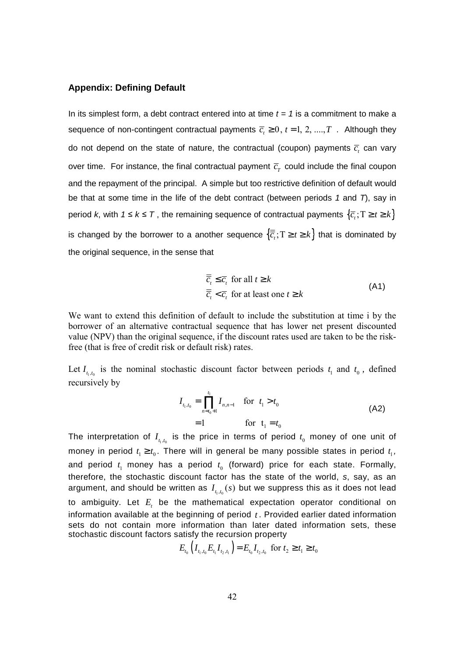#### **Appendix: Defining Default**

In its simplest form, a debt contract entered into at time  $t = 1$  is a commitment to make a sequence of non-contingent contractual payments  $\overline{c}_i \geq 0$ ,  $t = 1, 2, ..., T$  . Although they do not depend on the state of nature, the contractual (coupon) payments  $\overline{c}_{i}$  can vary over time. For instance, the final contractual payment  $\overline{c}_{T}$  could include the final coupon and the repayment of the principal. A simple but too restrictive definition of default would be that at some time in the life of the debt contract (between periods  $1$  and  $T$ ), say in period *k*, with  $1 \leq k \leq T$ , the remaining sequence of contractual payments  $\{\overline{c}_i; T \geq t \geq k\}$ is changed by the borrower to a another sequence  $\{\overline{c}_i; T \geq t \geq k\}$  that is dominated by the original sequence, in the sense that

$$
\overline{\overline{c}}_t \le \overline{c}_t \text{ for all } t \ge k
$$
\n
$$
\overline{\overline{c}}_t < \overline{c}_t \text{ for at least one } t \ge k
$$
\n(A1)

We want to extend this definition of default to include the substitution at time i by the borrower of an alternative contractual sequence that has lower net present discounted value (NPV) than the original sequence, if the discount rates used are taken to be the riskfree (that is free of credit risk or default risk) rates.

Let  $I_{t_1,t_0}$  is the nominal stochastic discount factor between periods  $t_1$  and  $t_0$ , defined recursively by

$$
I_{t_1,t_0} = \prod_{n=t_0+1}^{t_1} I_{n,n-1} \quad \text{for} \quad t_1 > t_0
$$
  
= 1 \qquad \qquad \text{for} \quad t\_1 = t\_0 \qquad (A2)

The interpretation of  $I_{_{t_1,t_0}}$  is the price in terms of period  $t_0$  money of one unit of money in period  $t_1 \geq t_0$ . There will in general be many possible states in period  $t_1$ , and period  $t_1$  money has a period  $t_0$  (forward) price for each state. Formally, therefore, the stochastic discount factor has the state of the world, s, say, as an argument, and should be written as  $I_{_{t_i,t_0}}(s)$  but we suppress this as it does not lead to ambiguity. Let  $E_t$  be the mathematical expectation operator conditional on information available at the beginning of period *t* . Provided earlier dated information sets do not contain more information than later dated information sets, these stochastic discount factors satisfy the recursion property

$$
E_{t_0} \left( I_{t_1, t_0} E_{t_1} I_{t_2, t_1} \right) = E_{t_0} I_{t_2, t_0} \text{ for } t_2 \ge t_1 \ge t_0
$$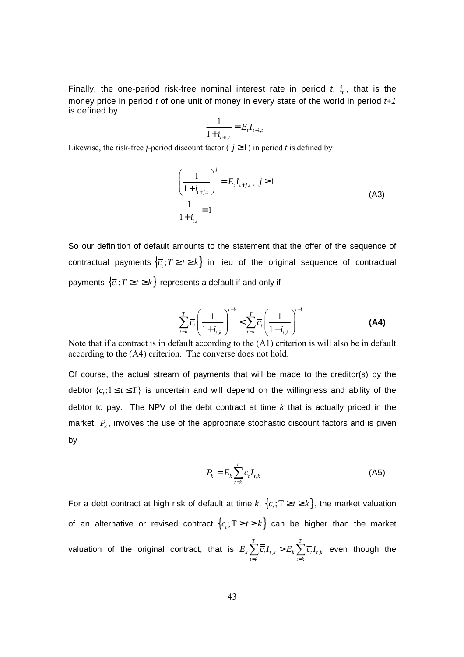Finally, the one-period risk-free nominal interest rate in period  $t$ ,  $i$ , that is the money price in period  $t$  of one unit of money in every state of the world in period  $t+1$ is defined by

$$
\frac{1}{1+i_{t+1,t}} = E_t I_{t+1,t}
$$

Likewise, the risk-free *j*-period discount factor ( $j \ge 1$ ) in period *t* is defined by

$$
\left(\frac{1}{1+i_{i+j,t}}\right)^j = E_t I_{i+j,t}, \ j \ge 1
$$
\n
$$
\frac{1}{1+i_{i,t}} = 1
$$
\n(A3)

So our definition of default amounts to the statement that the offer of the sequence of contractual payments  $\{\overline{c}_t; T \geq t \geq k\}$  in lieu of the original sequence of contractual payments  $\left\{ \overline{c}_{i};T\geq t\geq k\right\}$  represents a default if and only if

$$
\sum_{t=k}^{T} \overline{\overline{c}}_t \left( \frac{1}{1+i_{t,k}} \right)^{t-k} < \sum_{t=k}^{T} \overline{c}_t \left( \frac{1}{1+i_{t,k}} \right)^{t-k} \tag{A4}
$$

Note that if a contract is in default according to the (A1) criterion is will also be in default according to the (A4) criterion. The converse does not hold.

Of course, the actual stream of payments that will be made to the creditor(s) by the debtor  ${c_i; 1 \le t \le T}$  is uncertain and will depend on the willingness and ability of the debtor to pay. The NPV of the debt contract at time  $k$  that is actually priced in the market,  $P_k$ , involves the use of the appropriate stochastic discount factors and is given by

$$
P_k = E_k \sum_{t=k}^{T} c_t I_{t,k} \tag{A5}
$$

For a debt contract at high risk of default at time  $k, \{\overline{c}_i; T \geq t \geq k\}$ , the market valuation of an alternative or revised contract  $\{\overline{c}_i: T\geq t\geq k\}$  can be higher than the market valuation of the original contract, that is  $E_{_k}\sum \overline{c}_{_t}I_{_{t,k}} > E_{_k}\sum \overline{c}_{_t}I_{_{t,}}$ *T T*  $k \sum c_i \mathbf{1}_{t,k} \leq \mathbf{1}_{k} \sum c_i \mathbf{1}_{t,k}$  $t = k$   $t = k$  $E_k$   $\sum \overline{c}_i I_{t_k} > E_k$   $\sum \overline{c}_i I$  $=k$   $t=$  $\sum_{i} \overline{\overline{c}_{i}} I_{t,k} > E_{k} \sum_{i} \overline{c}_{i} I_{t,k}$  even though the